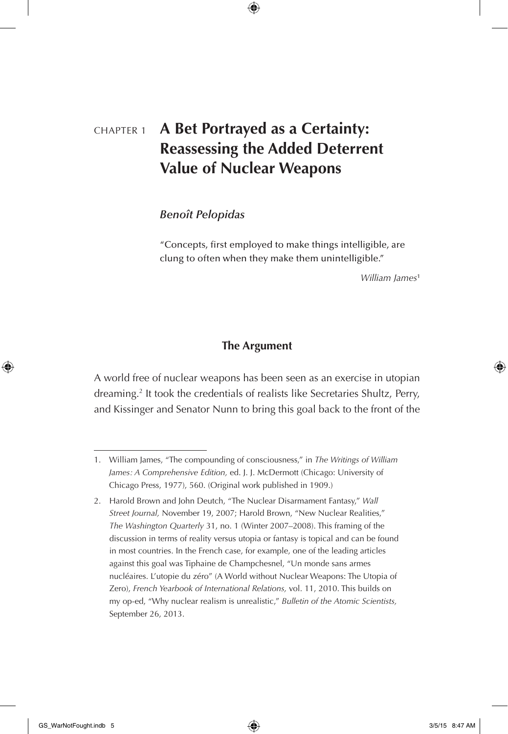# CHAPTER 1 **A Bet Portrayed as a Certainty: Reassessing the Added Deterrent Value of Nuclear Weapons**

### *Benoît Pelopidas*

"Concepts, first employed to make things intelligible, are clung to often when they make them unintelligible."

*William James*<sup>1</sup>

### **The Argument**

A world free of nuclear weapons has been seen as an exercise in utopian dreaming.2 It took the credentials of realists like Secretaries Shultz, Perry, and Kissinger and Senator Nunn to bring this goal back to the front of the

<sup>1.</sup> William James, "The compounding of consciousness," in *The Writings of William James: A Comprehensive Edition,* ed. J. J. McDermott (Chicago: University of Chicago Press, 1977), 560. (Original work published in 1909.)

<sup>2.</sup> Harold Brown and John Deutch, "The Nuclear Disarmament Fantasy," *Wall Street Journal,* November 19, 2007; Harold Brown, "New Nuclear Realities," *The Washington Quarterly* 31, no. 1 (Winter 2007–2008). This framing of the discussion in terms of reality versus utopia or fantasy is topical and can be found in most countries. In the French case, for example, one of the leading articles against this goal was Tiphaine de Champchesnel, "Un monde sans armes nucléaires. L'utopie du zéro" (A World without Nuclear Weapons: The Utopia of Zero), *French Yearbook of International Relations,* vol. 11, 2010. This builds on my op-ed, "Why nuclear realism is unrealistic," *Bulletin of the Atomic Scientists,* September 26, 2013.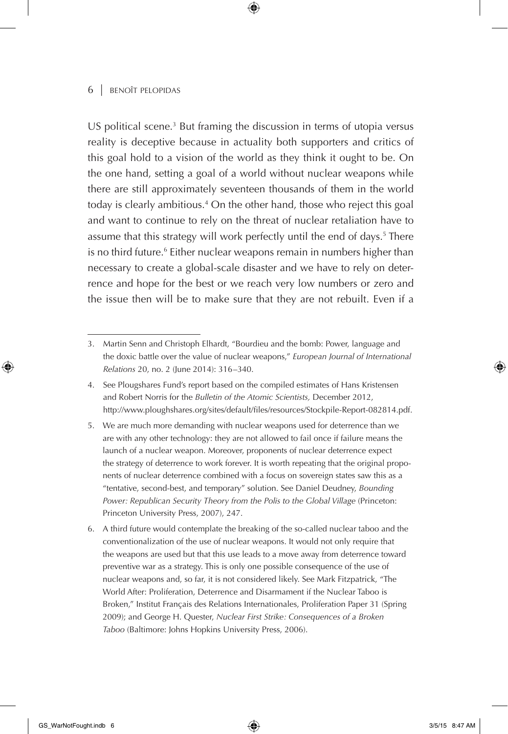US political scene.<sup>3</sup> But framing the discussion in terms of utopia versus reality is deceptive because in actuality both supporters and critics of this goal hold to a vision of the world as they think it ought to be. On the one hand, setting a goal of a world without nuclear weapons while there are still approximately seventeen thousands of them in the world today is clearly ambitious.<sup>4</sup> On the other hand, those who reject this goal and want to continue to rely on the threat of nuclear retaliation have to assume that this strategy will work perfectly until the end of days.<sup>5</sup> There is no third future.<sup>6</sup> Either nuclear weapons remain in numbers higher than necessary to create a global-scale disaster and we have to rely on deterrence and hope for the best or we reach very low numbers or zero and the issue then will be to make sure that they are not rebuilt. Even if a

<sup>3.</sup> Martin Senn and Christoph Elhardt, "Bourdieu and the bomb: Power, language and the doxic battle over the value of nuclear weapons," *European Journal of International Relations* 20, no. 2 (June 2014): 316–340.

<sup>4.</sup> See Plougshares Fund's report based on the compiled estimates of Hans Kristensen and Robert Norris for the *Bulletin of the Atomic Scientists,* December 2012, http://www.ploughshares.org/sites/default/files/resources/Stockpile-Report-082814.pdf.

<sup>5.</sup> We are much more demanding with nuclear weapons used for deterrence than we are with any other technology: they are not allowed to fail once if failure means the launch of a nuclear weapon. Moreover, proponents of nuclear deterrence expect the strategy of deterrence to work forever. It is worth repeating that the original proponents of nuclear deterrence combined with a focus on sovereign states saw this as a "tentative, second-best, and temporary" solution. See Daniel Deudney, *Bounding Power: Republican Security Theory from the Polis to the Global Village* (Princeton: Princeton University Press, 2007), 247.

<sup>6.</sup> A third future would contemplate the breaking of the so-called nuclear taboo and the conventionalization of the use of nuclear weapons. It would not only require that the weapons are used but that this use leads to a move away from deterrence toward preventive war as a strategy. This is only one possible consequence of the use of nuclear weapons and, so far, it is not considered likely. See Mark Fitzpatrick, "The World After: Proliferation, Deterrence and Disarmament if the Nuclear Taboo is Broken," Institut Français des Relations Internationales, Proliferation Paper 31 (Spring 2009); and George H. Quester, *Nuclear First Strike: Consequences of a Broken Taboo* (Baltimore: Johns Hopkins University Press, 2006).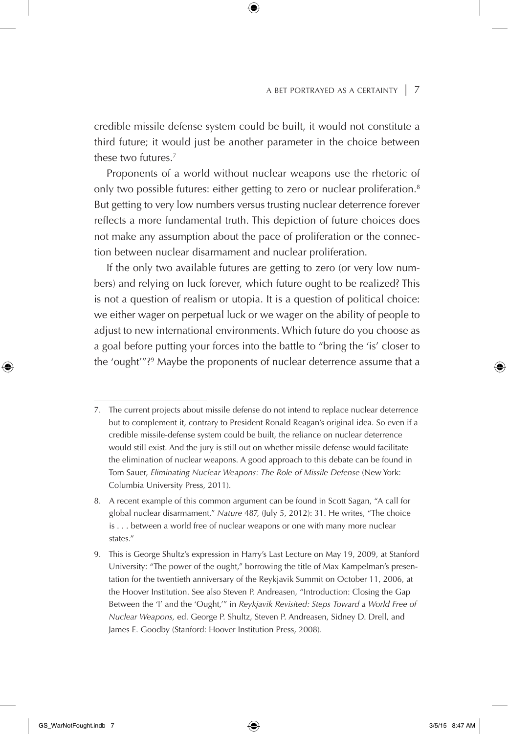credible missile defense system could be built, it would not constitute a third future; it would just be another parameter in the choice between these two futures.7

Proponents of a world without nuclear weapons use the rhetoric of only two possible futures: either getting to zero or nuclear proliferation.<sup>8</sup> But getting to very low numbers versus trusting nuclear deterrence forever reflects a more fundamental truth. This depiction of future choices does not make any assumption about the pace of proliferation or the connection between nuclear disarmament and nuclear proliferation.

If the only two available futures are getting to zero (or very low numbers) and relying on luck forever, which future ought to be realized? This is not a question of realism or utopia. It is a question of political choice: we either wager on perpetual luck or we wager on the ability of people to adjust to new international environments. Which future do you choose as a goal before putting your forces into the battle to "bring the 'is' closer to the 'ought'"?9 Maybe the proponents of nuclear deterrence assume that a

<sup>7.</sup> The current projects about missile defense do not intend to replace nuclear deterrence but to complement it, contrary to President Ronald Reagan's original idea. So even if a credible missile-defense system could be built, the reliance on nuclear deterrence would still exist. And the jury is still out on whether missile defense would facilitate the elimination of nuclear weapons. A good approach to this debate can be found in Tom Sauer, *Eliminating Nuclear Weapons: The Role of Missile Defense* (New York: Columbia University Press, 2011).

<sup>8.</sup> A recent example of this common argument can be found in Scott Sagan, "A call for global nuclear disarmament," *Nature* 487, (July 5, 2012): 31. He writes, "The choice is . . . between a world free of nuclear weapons or one with many more nuclear states."

<sup>9.</sup> This is George Shultz's expression in Harry's Last Lecture on May 19, 2009, at Stanford University: "The power of the ought," borrowing the title of Max Kampelman's presentation for the twentieth anniversary of the Reykjavik Summit on October 11, 2006, at the Hoover Institution. See also Steven P. Andreasen, "Introduction: Closing the Gap Between the 'I' and the 'Ought,'" in *Reykjavik Revisited: Steps Toward a World Free of Nuclear Weapons,* ed. George P. Shultz, Steven P. Andreasen, Sidney D. Drell, and James E. Goodby (Stanford: Hoover Institution Press, 2008).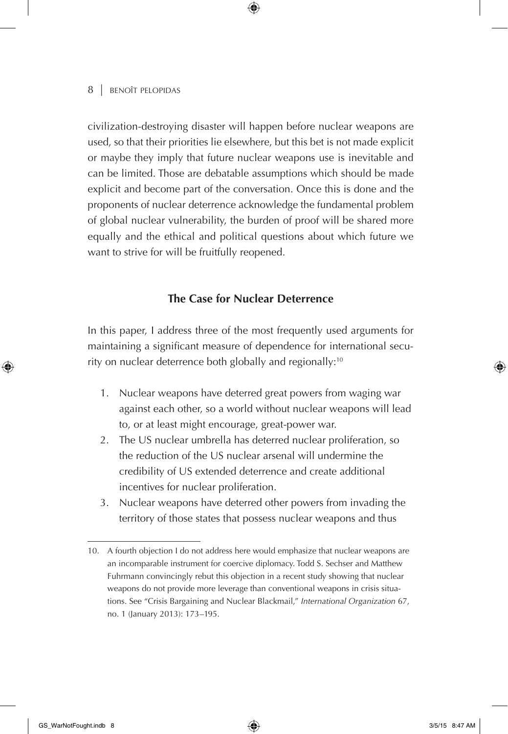civilization-destroying disaster will happen before nuclear weapons are used, so that their priorities lie elsewhere, but this bet is not made explicit or maybe they imply that future nuclear weapons use is inevitable and can be limited. Those are debatable assumptions which should be made explicit and become part of the conversation. Once this is done and the proponents of nuclear deterrence acknowledge the fundamental problem of global nuclear vulnerability, the burden of proof will be shared more equally and the ethical and political questions about which future we want to strive for will be fruitfully reopened.

### **The Case for Nuclear Deterrence**

In this paper, I address three of the most frequently used arguments for maintaining a significant measure of dependence for international security on nuclear deterrence both globally and regionally:10

- 1. Nuclear weapons have deterred great powers from waging war against each other, so a world without nuclear weapons will lead to, or at least might encourage, great-power war.
- 2. The US nuclear umbrella has deterred nuclear proliferation, so the reduction of the US nuclear arsenal will undermine the credibility of US extended deterrence and create additional incentives for nuclear proliferation.
- 3. Nuclear weapons have deterred other powers from invading the territory of those states that possess nuclear weapons and thus

<sup>10.</sup> A fourth objection I do not address here would emphasize that nuclear weapons are an incomparable instrument for coercive diplomacy. Todd S. Sechser and Matthew Fuhrmann convincingly rebut this objection in a recent study showing that nuclear weapons do not provide more leverage than conventional weapons in crisis situations. See "Crisis Bargaining and Nuclear Blackmail," *International Organization* 67, no. 1 (January 2013): 173–195.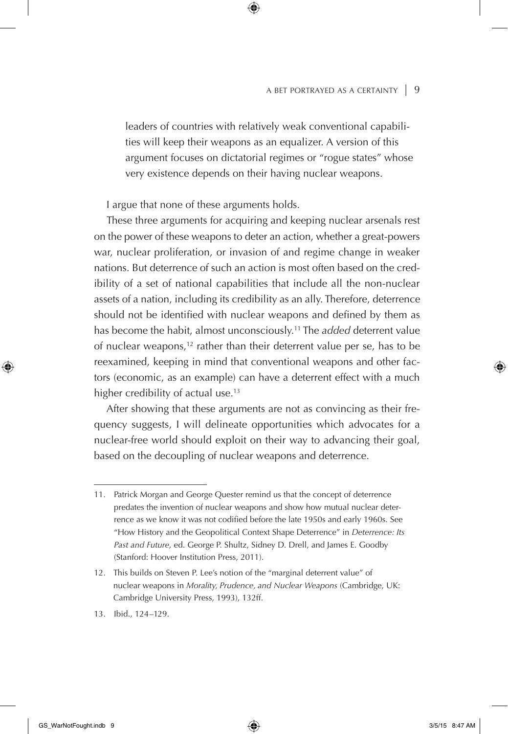leaders of countries with relatively weak conventional capabilities will keep their weapons as an equalizer. A version of this argument focuses on dictatorial regimes or "rogue states" whose very existence depends on their having nuclear weapons.

I argue that none of these arguments holds.

These three arguments for acquiring and keeping nuclear arsenals rest on the power of these weapons to deter an action, whether a great-powers war, nuclear proliferation, or invasion of and regime change in weaker nations. But deterrence of such an action is most often based on the credibility of a set of national capabilities that include all the non-nuclear assets of a nation, including its credibility as an ally. Therefore, deterrence should not be identified with nuclear weapons and defined by them as has become the habit, almost unconsciously.11 The *added* deterrent value of nuclear weapons,<sup>12</sup> rather than their deterrent value per se, has to be reexamined, keeping in mind that conventional weapons and other factors (economic, as an example) can have a deterrent effect with a much higher credibility of actual use.<sup>13</sup>

After showing that these arguments are not as convincing as their frequency suggests, I will delineate opportunities which advocates for a nuclear-free world should exploit on their way to advancing their goal, based on the decoupling of nuclear weapons and deterrence.

<sup>11.</sup> Patrick Morgan and George Quester remind us that the concept of deterrence predates the invention of nuclear weapons and show how mutual nuclear deterrence as we know it was not codified before the late 1950s and early 1960s. See "How History and the Geopolitical Context Shape Deterrence" in *Deterrence: Its Past and Future,* ed. George P. Shultz, Sidney D. Drell, and James E. Goodby (Stanford: Hoover Institution Press, 2011).

<sup>12.</sup> This builds on Steven P. Lee's notion of the "marginal deterrent value" of nuclear weapons in *Morality, Prudence, and Nuclear Weapons* (Cambridge, UK: Cambridge University Press, 1993), 132ff.

<sup>13.</sup> Ibid., 124–129.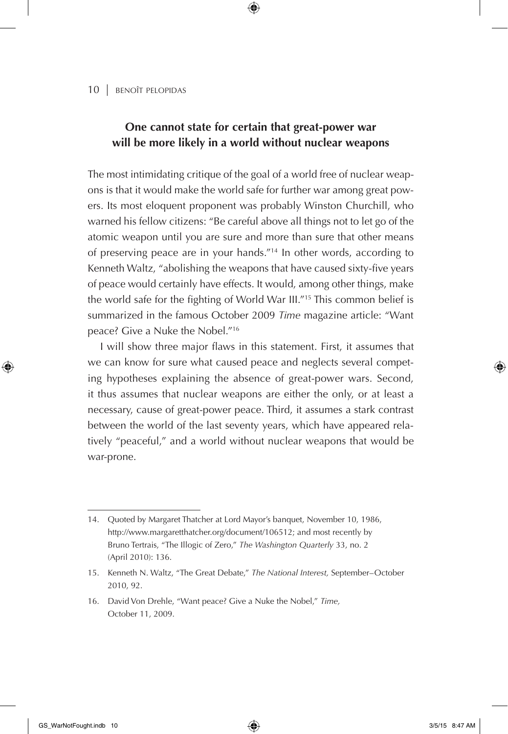# **One cannot state for certain that great-power war will be more likely in a world without nuclear weapons**

The most intimidating critique of the goal of a world free of nuclear weapons is that it would make the world safe for further war among great powers. Its most eloquent proponent was probably Winston Churchill, who warned his fellow citizens: "Be careful above all things not to let go of the atomic weapon until you are sure and more than sure that other means of preserving peace are in your hands."14 In other words, according to Kenneth Waltz, "abolishing the weapons that have caused sixty-five years of peace would certainly have effects. It would, among other things, make the world safe for the fighting of World War III."15 This common belief is summarized in the famous October 2009 *Time* magazine article: "Want peace? Give a Nuke the Nobel."16

I will show three major flaws in this statement. First, it assumes that we can know for sure what caused peace and neglects several competing hypotheses explaining the absence of great-power wars. Second, it thus assumes that nuclear weapons are either the only, or at least a necessary, cause of great-power peace. Third, it assumes a stark contrast between the world of the last seventy years, which have appeared relatively "peaceful," and a world without nuclear weapons that would be war-prone.

<sup>14.</sup> Quoted by Margaret Thatcher at Lord Mayor's banquet, November 10, 1986, http://www.margaretthatcher.org/document/106512; and most recently by Bruno Tertrais, "The Illogic of Zero," *The Washington Quarterly* 33, no. 2 (April 2010): 136.

<sup>15.</sup> Kenneth N. Waltz, "The Great Debate," *The National Interest,* September–October 2010, 92.

<sup>16.</sup> David Von Drehle, "Want peace? Give a Nuke the Nobel," *Time,* October 11, 2009.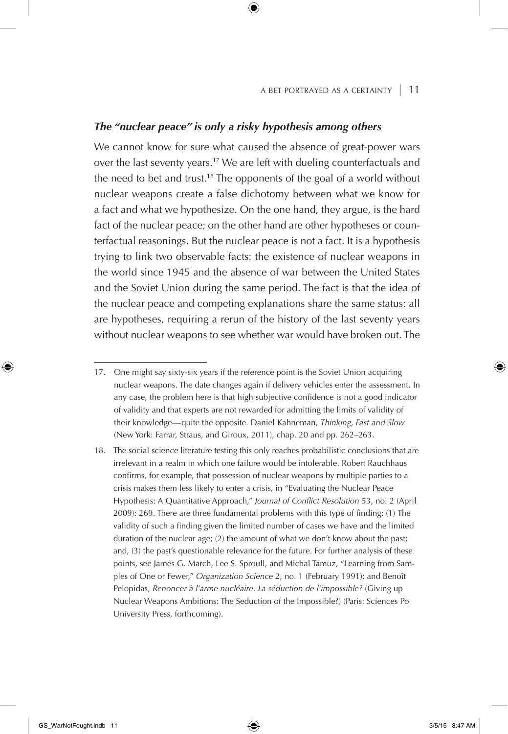### *The "nuclear peace" is only a risky hypothesis among others*

We cannot know for sure what caused the absence of great-power wars over the last seventy years.17 We are left with dueling counterfactuals and the need to bet and trust.<sup>18</sup> The opponents of the goal of a world without nuclear weapons create a false dichotomy between what we know for a fact and what we hypothesize. On the one hand, they argue, is the hard fact of the nuclear peace; on the other hand are other hypotheses or counterfactual reasonings. But the nuclear peace is not a fact. It is a hypothesis trying to link two observable facts: the existence of nuclear weapons in the world since 1945 and the absence of war between the United States and the Soviet Union during the same period. The fact is that the idea of the nuclear peace and competing explanations share the same status: all are hypotheses, requiring a rerun of the history of the last seventy years without nuclear weapons to see whether war would have broken out. The

18. The social science literature testing this only reaches probabilistic conclusions that are irrelevant in a realm in which one failure would be intolerable. Robert Rauchhaus confirms, for example, that possession of nuclear weapons by multiple parties to a crisis makes them less likely to enter a crisis, in "Evaluating the Nuclear Peace Hypothesis: A Quantitative Approach," *Journal of Conflict Resolution* 53, no. 2 (April 2009): 269. There are three fundamental problems with this type of finding: (1) The validity of such a finding given the limited number of cases we have and the limited duration of the nuclear age; (2) the amount of what we don't know about the past; and, (3) the past's questionable relevance for the future. For further analysis of these points, see James G. March, Lee S. Sproull, and Michal Tamuz, "Learning from Samples of One or Fewer," *Organization Science* 2, no. 1 (February 1991); and Benoît Pelopidas, *Renoncer à l'arme nucléaire: La séduction de l'impossible?* (Giving up Nuclear Weapons Ambitions: The Seduction of the Impossible?) (Paris: Sciences Po University Press, forthcoming).

<sup>17.</sup> One might say sixty-six years if the reference point is the Soviet Union acquiring nuclear weapons. The date changes again if delivery vehicles enter the assessment. In any case, the problem here is that high subjective confidence is not a good indicator of validity and that experts are not rewarded for admitting the limits of validity of their knowledge—quite the opposite. Daniel Kahneman, *Thinking, Fast and Slow*  (New York: Farrar, Straus, and Giroux, 2011), chap. 20 and pp. 262–263.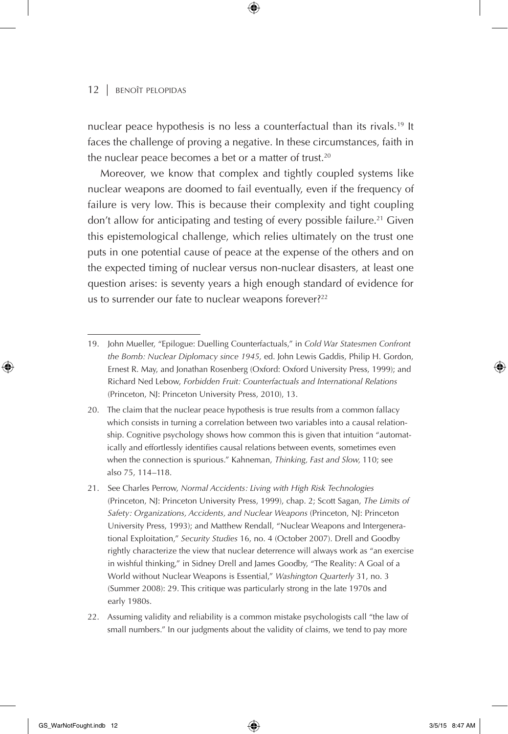nuclear peace hypothesis is no less a counterfactual than its rivals.<sup>19</sup> It faces the challenge of proving a negative. In these circumstances, faith in the nuclear peace becomes a bet or a matter of trust.<sup>20</sup>

Moreover, we know that complex and tightly coupled systems like nuclear weapons are doomed to fail eventually, even if the frequency of failure is very low. This is because their complexity and tight coupling don't allow for anticipating and testing of every possible failure.<sup>21</sup> Given this epistemological challenge, which relies ultimately on the trust one puts in one potential cause of peace at the expense of the others and on the expected timing of nuclear versus non-nuclear disasters, at least one question arises: is seventy years a high enough standard of evidence for us to surrender our fate to nuclear weapons forever?<sup>22</sup>

<sup>19.</sup> John Mueller, "Epilogue: Duelling Counterfactuals," in *Cold War Statesmen Confront the Bomb: Nuclear Diplomacy since 1945,* ed. John Lewis Gaddis, Philip H. Gordon, Ernest R. May, and Jonathan Rosenberg (Oxford: Oxford University Press, 1999); and Richard Ned Lebow, *Forbidden Fruit: Counterfactuals and International Relations*  (Princeton, NJ: Princeton University Press, 2010), 13.

<sup>20.</sup> The claim that the nuclear peace hypothesis is true results from a common fallacy which consists in turning a correlation between two variables into a causal relationship. Cognitive psychology shows how common this is given that intuition "automatically and effortlessly identifies causal relations between events, sometimes even when the connection is spurious." Kahneman, *Thinking, Fast and Slow,* 110; see also 75, 114–118.

<sup>21.</sup> See Charles Perrow, *Normal Accidents: Living with High Risk Technologies*  (Princeton, NJ: Princeton University Press, 1999), chap. 2; Scott Sagan, *The Limits of Safety: Organizations, Accidents, and Nuclear Weapons* (Princeton, NJ: Princeton University Press, 1993); and Matthew Rendall, "Nuclear Weapons and Intergenerational Exploitation," *Security Studies* 16, no. 4 (October 2007). Drell and Goodby rightly characterize the view that nuclear deterrence will always work as "an exercise in wishful thinking," in Sidney Drell and James Goodby, "The Reality: A Goal of a World without Nuclear Weapons is Essential," *Washington Quarterly* 31, no. 3 (Summer 2008): 29. This critique was particularly strong in the late 1970s and early 1980s.

<sup>22.</sup> Assuming validity and reliability is a common mistake psychologists call "the law of small numbers." In our judgments about the validity of claims, we tend to pay more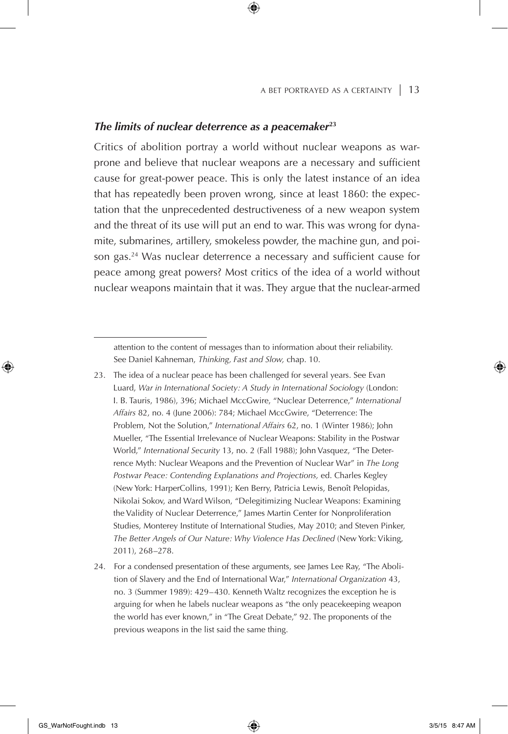### *The limits of nuclear deterrence as a peacemaker***<sup>23</sup>**

Critics of abolition portray a world without nuclear weapons as warprone and believe that nuclear weapons are a necessary and sufficient cause for great-power peace. This is only the latest instance of an idea that has repeatedly been proven wrong, since at least 1860: the expectation that the unprecedented destructiveness of a new weapon system and the threat of its use will put an end to war. This was wrong for dynamite, submarines, artillery, smokeless powder, the machine gun, and poison gas.<sup>24</sup> Was nuclear deterrence a necessary and sufficient cause for peace among great powers? Most critics of the idea of a world without nuclear weapons maintain that it was. They argue that the nuclear-armed

- 23. The idea of a nuclear peace has been challenged for several years. See Evan Luard, *War in International Society: A Study in International Sociology* (London: I. B. Tauris, 1986), 396; Michael MccGwire, "Nuclear Deterrence," *International Affairs* 82, no. 4 (June 2006): 784; Michael MccGwire, "Deterrence: The Problem, Not the Solution," *International Affairs* 62, no. 1 (Winter 1986); John Mueller, "The Essential Irrelevance of Nuclear Weapons: Stability in the Postwar World," *International Security* 13, no. 2 (Fall 1988); John Vasquez, "The Deterrence Myth: Nuclear Weapons and the Prevention of Nuclear War" in *The Long Postwar Peace: Contending Explanations and Projections,* ed. Charles Kegley (New York: HarperCollins, 1991); Ken Berry, Patricia Lewis, Benoît Pelopidas, Nikolai Sokov, and Ward Wilson, "Delegitimizing Nuclear Weapons: Examining the Validity of Nuclear Deterrence," James Martin Center for Nonproliferation Studies, Monterey Institute of International Studies, May 2010; and Steven Pinker, *The Better Angels of Our Nature: Why Violence Has Declined* (New York: Viking, 2011), 268–278.
- 24. For a condensed presentation of these arguments, see James Lee Ray, "The Abolition of Slavery and the End of International War," *International Organization* 43, no. 3 (Summer 1989): 429–430. Kenneth Waltz recognizes the exception he is arguing for when he labels nuclear weapons as "the only peacekeeping weapon the world has ever known," in "The Great Debate," 92. The proponents of the previous weapons in the list said the same thing.

attention to the content of messages than to information about their reliability. See Daniel Kahneman, *Thinking, Fast and Slow,* chap. 10.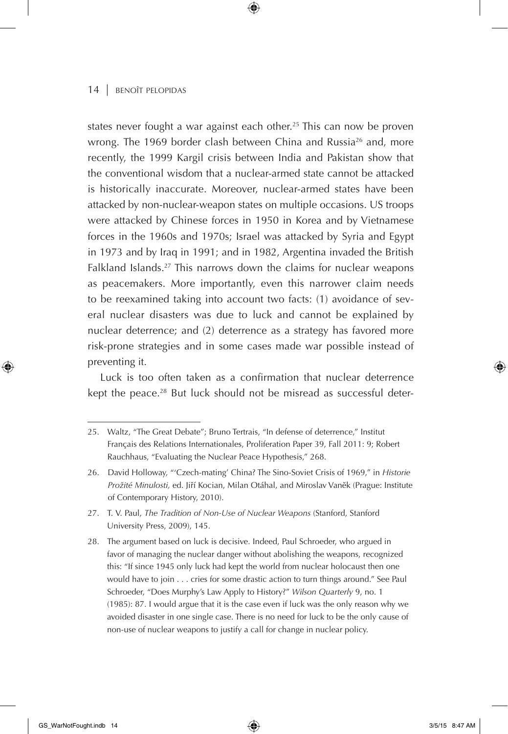states never fought a war against each other.<sup>25</sup> This can now be proven wrong. The 1969 border clash between China and Russia<sup>26</sup> and, more recently, the 1999 Kargil crisis between India and Pakistan show that the conventional wisdom that a nuclear-armed state cannot be attacked is historically inaccurate. Moreover, nuclear-armed states have been attacked by non-nuclear-weapon states on multiple occasions. US troops were attacked by Chinese forces in 1950 in Korea and by Vietnamese forces in the 1960s and 1970s; Israel was attacked by Syria and Egypt in 1973 and by Iraq in 1991; and in 1982, Argentina invaded the British Falkland Islands.<sup>27</sup> This narrows down the claims for nuclear weapons as peacemakers. More importantly, even this narrower claim needs to be reexamined taking into account two facts: (1) avoidance of several nuclear disasters was due to luck and cannot be explained by nuclear deterrence; and (2) deterrence as a strategy has favored more risk-prone strategies and in some cases made war possible instead of preventing it.

Luck is too often taken as a confirmation that nuclear deterrence kept the peace.<sup>28</sup> But luck should not be misread as successful deter-

<sup>25.</sup> Waltz, "The Great Debate"; Bruno Tertrais, "In defense of deterrence," Institut Français des Relations Internationales, Proliferation Paper 39, Fall 2011: 9; Robert Rauchhaus, "Evaluating the Nuclear Peace Hypothesis," 268.

<sup>26.</sup> David Holloway, "'Czech-mating' China? The Sino-Soviet Crisis of 1969," in *Historie Prožité Minulosti,* ed. Jiří Kocian, Milan Otáhal, and Miroslav Vanĕk (Prague: Institute of Contemporary History, 2010).

<sup>27.</sup> T. V. Paul, *The Tradition of Non-Use of Nuclear Weapons* (Stanford, Stanford University Press, 2009), 145.

<sup>28.</sup> The argument based on luck is decisive. Indeed, Paul Schroeder, who argued in favor of managing the nuclear danger without abolishing the weapons, recognized this: "If since 1945 only luck had kept the world from nuclear holocaust then one would have to join . . . cries for some drastic action to turn things around." See Paul Schroeder, "Does Murphy's Law Apply to History?" *Wilson Quarterly* 9, no. 1 (1985): 87. I would argue that it is the case even if luck was the only reason why we avoided disaster in one single case. There is no need for luck to be the only cause of non-use of nuclear weapons to justify a call for change in nuclear policy.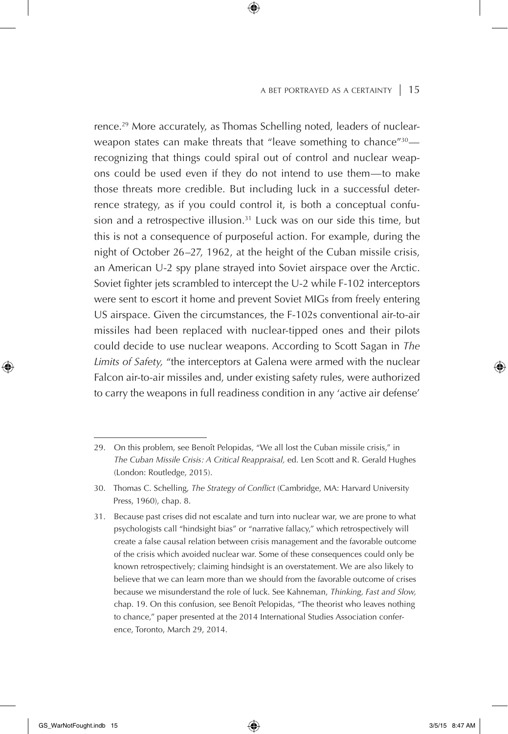rence.29 More accurately, as Thomas Schelling noted, leaders of nuclearweapon states can make threats that "leave something to chance"<sup>30</sup> recognizing that things could spiral out of control and nuclear weapons could be used even if they do not intend to use them—to make those threats more credible. But including luck in a successful deterrence strategy, as if you could control it, is both a conceptual confusion and a retrospective illusion.<sup>31</sup> Luck was on our side this time, but this is not a consequence of purposeful action. For example, during the night of October 26–27, 1962, at the height of the Cuban missile crisis, an American U-2 spy plane strayed into Soviet airspace over the Arctic. Soviet fighter jets scrambled to intercept the U-2 while F-102 interceptors were sent to escort it home and prevent Soviet MIGs from freely entering US airspace. Given the circumstances, the F-102s conventional air-to-air missiles had been replaced with nuclear-tipped ones and their pilots could decide to use nuclear weapons. According to Scott Sagan in *The Limits of Safety,* "the interceptors at Galena were armed with the nuclear Falcon air-to-air missiles and, under existing safety rules, were authorized to carry the weapons in full readiness condition in any 'active air defense'

<sup>29.</sup> On this problem, see Benoît Pelopidas, "We all lost the Cuban missile crisis," in *The Cuban Missile Crisis: A Critical Reappraisal,* ed. Len Scott and R. Gerald Hughes (London: Routledge, 2015).

<sup>30.</sup> Thomas C. Schelling, *The Strategy of Conflict* (Cambridge, MA: Harvard University Press, 1960), chap. 8.

<sup>31.</sup> Because past crises did not escalate and turn into nuclear war, we are prone to what psychologists call "hindsight bias" or "narrative fallacy," which retrospectively will create a false causal relation between crisis management and the favorable outcome of the crisis which avoided nuclear war. Some of these consequences could only be known retrospectively; claiming hindsight is an overstatement. We are also likely to believe that we can learn more than we should from the favorable outcome of crises because we misunderstand the role of luck. See Kahneman, *Thinking, Fast and Slow,* chap. 19. On this confusion, see Benoît Pelopidas, "The theorist who leaves nothing to chance," paper presented at the 2014 International Studies Association conference, Toronto, March 29, 2014.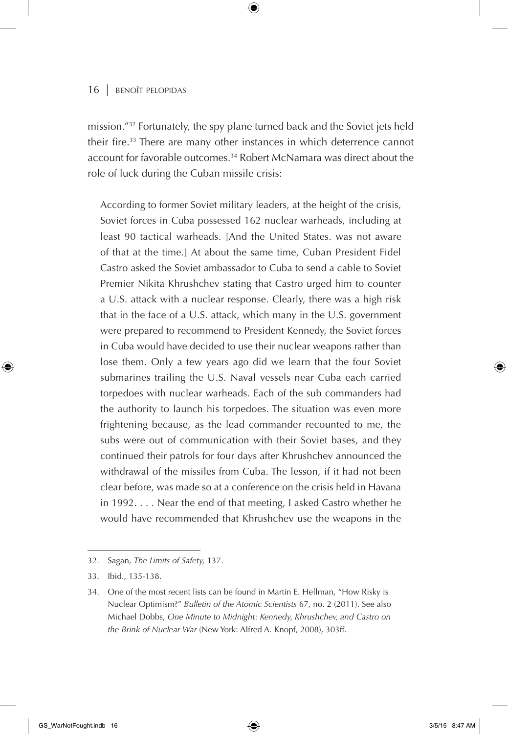mission."32 Fortunately, the spy plane turned back and the Soviet jets held their fire.33 There are many other instances in which deterrence cannot account for favorable outcomes.<sup>34</sup> Robert McNamara was direct about the role of luck during the Cuban missile crisis:

According to former Soviet military leaders, at the height of the crisis, Soviet forces in Cuba possessed 162 nuclear warheads, including at least 90 tactical warheads. [And the United States. was not aware of that at the time.] At about the same time, Cuban President Fidel Castro asked the Soviet ambassador to Cuba to send a cable to Soviet Premier Nikita Khrushchev stating that Castro urged him to counter a U.S. attack with a nuclear response. Clearly, there was a high risk that in the face of a U.S. attack, which many in the U.S. government were prepared to recommend to President Kennedy, the Soviet forces in Cuba would have decided to use their nuclear weapons rather than lose them. Only a few years ago did we learn that the four Soviet submarines trailing the U.S. Naval vessels near Cuba each carried torpedoes with nuclear warheads. Each of the sub commanders had the authority to launch his torpedoes. The situation was even more frightening because, as the lead commander recounted to me, the subs were out of communication with their Soviet bases, and they continued their patrols for four days after Khrushchev announced the withdrawal of the missiles from Cuba. The lesson, if it had not been clear before, was made so at a conference on the crisis held in Havana in 1992. . . . Near the end of that meeting, I asked Castro whether he would have recommended that Khrushchev use the weapons in the

<sup>32.</sup> Sagan, *The Limits of Safety,* 137.

<sup>33.</sup> Ibid., 135-138.

<sup>34.</sup> One of the most recent lists can be found in Martin E. Hellman, "How Risky is Nuclear Optimism?" *Bulletin of the Atomic Scientists* 67, no. 2 (2011). See also Michael Dobbs, *One Minute to Midnight: Kennedy, Khrushchev, and Castro on the Brink of Nuclear War* (New York: Alfred A. Knopf, 2008), 303ff.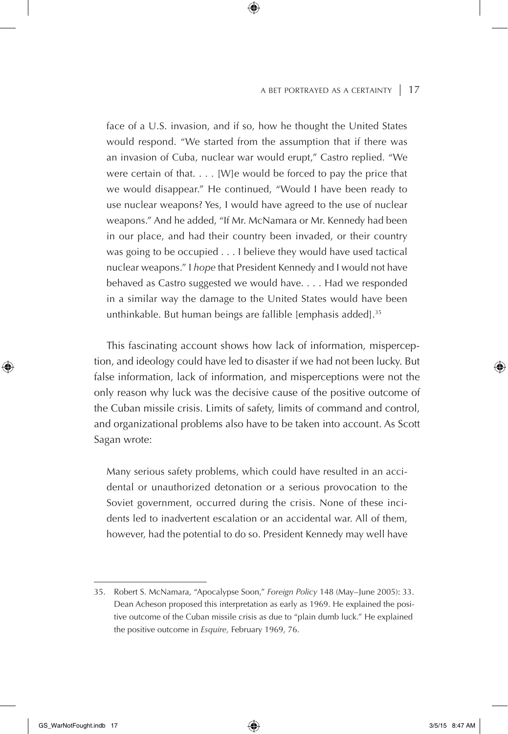face of a U.S. invasion, and if so, how he thought the United States would respond. "We started from the assumption that if there was an invasion of Cuba, nuclear war would erupt," Castro replied. "We were certain of that. . . . [W]e would be forced to pay the price that we would disappear." He continued, "Would I have been ready to use nuclear weapons? Yes, I would have agreed to the use of nuclear weapons." And he added, "If Mr. McNamara or Mr. Kennedy had been in our place, and had their country been invaded, or their country was going to be occupied . . . I believe they would have used tactical nuclear weapons." I *hope* that President Kennedy and I would not have behaved as Castro suggested we would have. . . . Had we responded in a similar way the damage to the United States would have been unthinkable. But human beings are fallible [emphasis added].<sup>35</sup>

This fascinating account shows how lack of information, misperception, and ideology could have led to disaster if we had not been lucky. But false information, lack of information, and misperceptions were not the only reason why luck was the decisive cause of the positive outcome of the Cuban missile crisis. Limits of safety, limits of command and control, and organizational problems also have to be taken into account. As Scott Sagan wrote:

Many serious safety problems, which could have resulted in an accidental or unauthorized detonation or a serious provocation to the Soviet government, occurred during the crisis. None of these incidents led to inadvertent escalation or an accidental war. All of them, however, had the potential to do so. President Kennedy may well have

<sup>35.</sup> Robert S. McNamara, "Apocalypse Soon," *Foreign Policy* 148 (May–June 2005): 33. Dean Acheson proposed this interpretation as early as 1969. He explained the positive outcome of the Cuban missile crisis as due to "plain dumb luck." He explained the positive outcome in *Esquire,* February 1969, 76.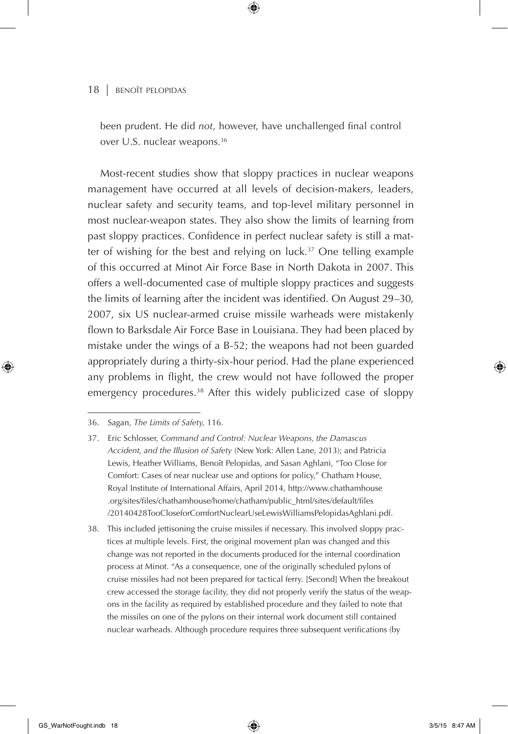been prudent. He did *not*, however, have unchallenged final control over U.S. nuclear weapons.36

Most-recent studies show that sloppy practices in nuclear weapons management have occurred at all levels of decision-makers, leaders, nuclear safety and security teams, and top-level military personnel in most nuclear-weapon states. They also show the limits of learning from past sloppy practices. Confidence in perfect nuclear safety is still a matter of wishing for the best and relying on luck.<sup>37</sup> One telling example of this occurred at Minot Air Force Base in North Dakota in 2007. This offers a well-documented case of multiple sloppy practices and suggests the limits of learning after the incident was identified. On August 29–30, 2007, six US nuclear-armed cruise missile warheads were mistakenly flown to Barksdale Air Force Base in Louisiana. They had been placed by mistake under the wings of a B-52; the weapons had not been guarded appropriately during a thirty-six-hour period. Had the plane experienced any problems in flight, the crew would not have followed the proper emergency procedures.<sup>38</sup> After this widely publicized case of sloppy

<sup>36.</sup> Sagan, *The Limits of Safety,* 116.

<sup>37.</sup> Eric Schlosser, *Command and Control: Nuclear Weapons, the Damascus Accident, and the Illusion of Safety* (New York: Allen Lane, 2013); and Patricia Lewis, Heather Williams, Benoît Pelopidas, and Sasan Aghlani, "Too Close for Comfort: Cases of near nuclear use and options for policy," Chatham House, Royal Institute of International Affairs, April 2014, http://www.chathamhouse .org/sites/files/chathamhouse/home/chatham/public\_html/sites/default/files /20140428TooCloseforComfortNuclearUseLewisWilliamsPelopidasAghlani.pdf.

<sup>38.</sup> This included jettisoning the cruise missiles if necessary. This involved sloppy practices at multiple levels. First, the original movement plan was changed and this change was not reported in the documents produced for the internal coordination process at Minot. "As a consequence, one of the originally scheduled pylons of cruise missiles had not been prepared for tactical ferry. [Second] When the breakout crew accessed the storage facility, they did not properly verify the status of the weapons in the facility as required by established procedure and they failed to note that the missiles on one of the pylons on their internal work document still contained nuclear warheads. Although procedure requires three subsequent verifications (by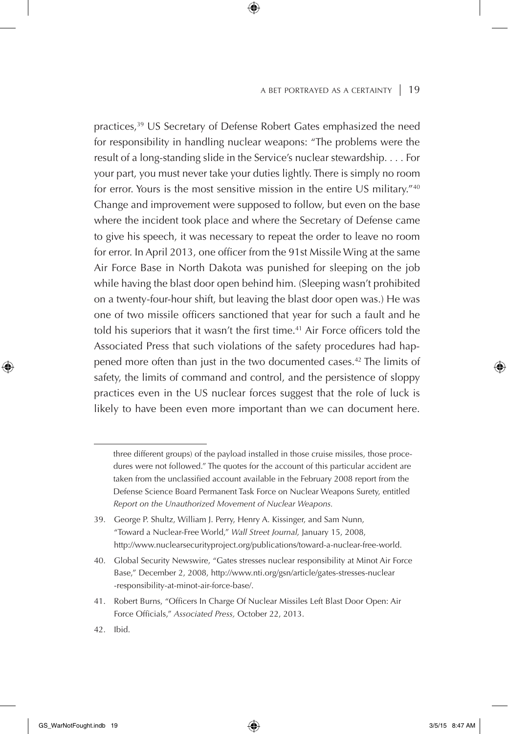practices,39 US Secretary of Defense Robert Gates emphasized the need for responsibility in handling nuclear weapons: "The problems were the result of a long-standing slide in the Service's nuclear stewardship. . . . For your part, you must never take your duties lightly. There is simply no room for error. Yours is the most sensitive mission in the entire US military."40 Change and improvement were supposed to follow, but even on the base where the incident took place and where the Secretary of Defense came to give his speech, it was necessary to repeat the order to leave no room for error. In April 2013, one officer from the 91st Missile Wing at the same Air Force Base in North Dakota was punished for sleeping on the job while having the blast door open behind him. (Sleeping wasn't prohibited on a twenty-four-hour shift, but leaving the blast door open was.) He was one of two missile officers sanctioned that year for such a fault and he told his superiors that it wasn't the first time.<sup>41</sup> Air Force officers told the Associated Press that such violations of the safety procedures had happened more often than just in the two documented cases.<sup>42</sup> The limits of safety, the limits of command and control, and the persistence of sloppy practices even in the US nuclear forces suggest that the role of luck is likely to have been even more important than we can document here.

three different groups) of the payload installed in those cruise missiles, those procedures were not followed." The quotes for the account of this particular accident are taken from the unclassified account available in the February 2008 report from the Defense Science Board Permanent Task Force on Nuclear Weapons Surety, entitled *Report on the Unauthorized Movement of Nuclear Weapons.*

<sup>39.</sup> George P. Shultz, William J. Perry, Henry A. Kissinger, and Sam Nunn, "Toward a Nuclear-Free World," *Wall Street Journal,* January 15, 2008, http://www.nuclearsecurityproject.org/publications/toward-a-nuclear-free-world.

<sup>40.</sup> Global Security Newswire, "Gates stresses nuclear responsibility at Minot Air Force Base," December 2, 2008, http://www.nti.org/gsn/article/gates-stresses-nuclear -responsibility-at-minot-air-force-base/.

<sup>41.</sup> Robert Burns, "Officers In Charge Of Nuclear Missiles Left Blast Door Open: Air Force Officials," *Associated Press,* October 22, 2013.

<sup>42.</sup> Ibid.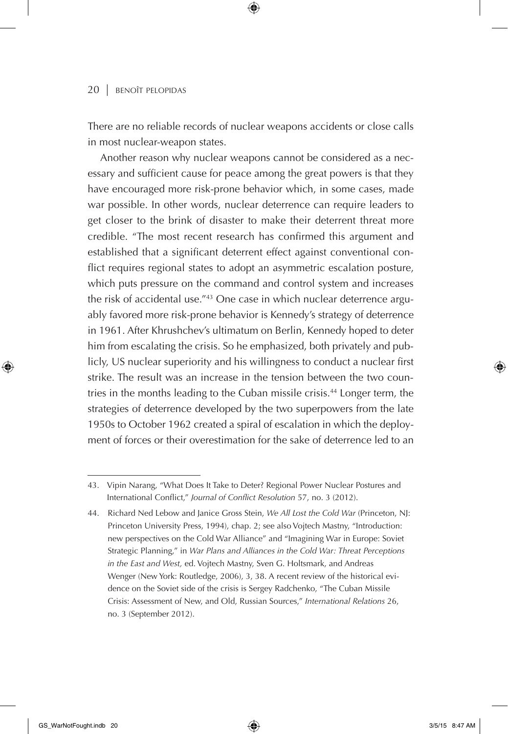There are no reliable records of nuclear weapons accidents or close calls in most nuclear-weapon states.

Another reason why nuclear weapons cannot be considered as a necessary and sufficient cause for peace among the great powers is that they have encouraged more risk-prone behavior which, in some cases, made war possible. In other words, nuclear deterrence can require leaders to get closer to the brink of disaster to make their deterrent threat more credible. "The most recent research has confirmed this argument and established that a significant deterrent effect against conventional conflict requires regional states to adopt an asymmetric escalation posture, which puts pressure on the command and control system and increases the risk of accidental use."43 One case in which nuclear deterrence arguably favored more risk-prone behavior is Kennedy's strategy of deterrence in 1961. After Khrushchev's ultimatum on Berlin, Kennedy hoped to deter him from escalating the crisis. So he emphasized, both privately and publicly, US nuclear superiority and his willingness to conduct a nuclear first strike. The result was an increase in the tension between the two countries in the months leading to the Cuban missile crisis.<sup>44</sup> Longer term, the strategies of deterrence developed by the two superpowers from the late 1950s to October 1962 created a spiral of escalation in which the deployment of forces or their overestimation for the sake of deterrence led to an

<sup>43.</sup> Vipin Narang, "What Does It Take to Deter? Regional Power Nuclear Postures and International Conflict," *Journal of Conflict Resolution* 57, no. 3 (2012).

<sup>44.</sup> Richard Ned Lebow and Janice Gross Stein, *We All Lost the Cold War* (Princeton, NJ: Princeton University Press, 1994), chap. 2; see also Vojtech Mastny, "Introduction: new perspectives on the Cold War Alliance" and "Imagining War in Europe: Soviet Strategic Planning," in *War Plans and Alliances in the Cold War: Threat Perceptions in the East and West,* ed. Vojtech Mastny, Sven G. Holtsmark, and Andreas Wenger (New York: Routledge, 2006), 3, 38. A recent review of the historical evidence on the Soviet side of the crisis is Sergey Radchenko, "The Cuban Missile Crisis: Assessment of New, and Old, Russian Sources," *International Relations* 26, no. 3 (September 2012).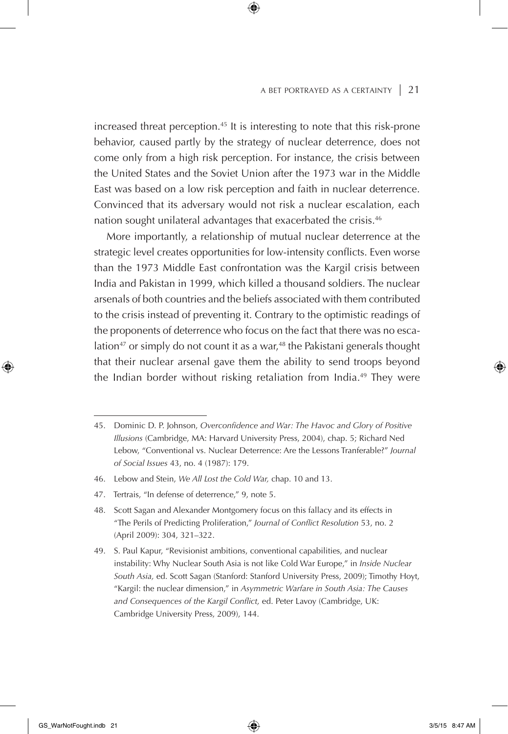increased threat perception.<sup>45</sup> It is interesting to note that this risk-prone behavior, caused partly by the strategy of nuclear deterrence, does not come only from a high risk perception. For instance, the crisis between the United States and the Soviet Union after the 1973 war in the Middle East was based on a low risk perception and faith in nuclear deterrence. Convinced that its adversary would not risk a nuclear escalation, each nation sought unilateral advantages that exacerbated the crisis.<sup>46</sup>

More importantly, a relationship of mutual nuclear deterrence at the strategic level creates opportunities for low-intensity conflicts. Even worse than the 1973 Middle East confrontation was the Kargil crisis between India and Pakistan in 1999, which killed a thousand soldiers. The nuclear arsenals of both countries and the beliefs associated with them contributed to the crisis instead of preventing it. Contrary to the optimistic readings of the proponents of deterrence who focus on the fact that there was no escalation<sup>47</sup> or simply do not count it as a war,<sup>48</sup> the Pakistani generals thought that their nuclear arsenal gave them the ability to send troops beyond the Indian border without risking retaliation from India.<sup>49</sup> They were

<sup>45.</sup> Dominic D. P. Johnson, *Overconfidence and War: The Havoc and Glory of Positive Illusions* (Cambridge, MA: Harvard University Press, 2004), chap. 5; Richard Ned Lebow, "Conventional vs. Nuclear Deterrence: Are the Lessons Tranferable?" *Journal of Social Issues* 43, no. 4 (1987): 179.

<sup>46.</sup> Lebow and Stein, *We All Lost the Cold War,* chap. 10 and 13.

<sup>47.</sup> Tertrais, "In defense of deterrence," 9, note 5.

<sup>48.</sup> Scott Sagan and Alexander Montgomery focus on this fallacy and its effects in "The Perils of Predicting Proliferation," *Journal of Conflict Resolution* 53, no. 2 (April 2009): 304, 321–322.

<sup>49.</sup> S. Paul Kapur, "Revisionist ambitions, conventional capabilities, and nuclear instability: Why Nuclear South Asia is not like Cold War Europe," in *Inside Nuclear South Asia,* ed. Scott Sagan (Stanford: Stanford University Press, 2009); Timothy Hoyt, "Kargil: the nuclear dimension," in *Asymmetric Warfare in South Asia: The Causes and Consequences of the Kargil Conflict,* ed. Peter Lavoy (Cambridge, UK: Cambridge University Press, 2009), 144.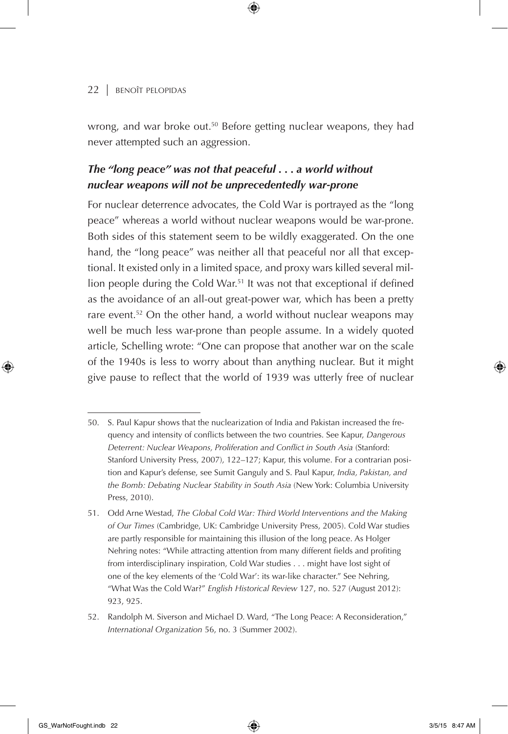wrong, and war broke out.<sup>50</sup> Before getting nuclear weapons, they had never attempted such an aggression.

# *The "long peace" was not that peaceful . . . a world without nuclear weapons will not be unprecedentedly war-prone*

For nuclear deterrence advocates, the Cold War is portrayed as the "long peace" whereas a world without nuclear weapons would be war-prone. Both sides of this statement seem to be wildly exaggerated. On the one hand, the "long peace" was neither all that peaceful nor all that exceptional. It existed only in a limited space, and proxy wars killed several million people during the Cold War.<sup>51</sup> It was not that exceptional if defined as the avoidance of an all-out great-power war, which has been a pretty rare event.<sup>52</sup> On the other hand, a world without nuclear weapons may well be much less war-prone than people assume. In a widely quoted article, Schelling wrote: "One can propose that another war on the scale of the 1940s is less to worry about than anything nuclear. But it might give pause to reflect that the world of 1939 was utterly free of nuclear

<sup>50.</sup> S. Paul Kapur shows that the nuclearization of India and Pakistan increased the frequency and intensity of conflicts between the two countries. See Kapur, *Dangerous Deterrent: Nuclear Weapons, Proliferation and Conflict in South Asia* (Stanford: Stanford University Press, 2007), 122–127; Kapur, this volume. For a contrarian position and Kapur's defense, see Sumit Ganguly and S. Paul Kapur, *India, Pakistan, and the Bomb: Debating Nuclear Stability in South Asia* (New York: Columbia University Press, 2010).

<sup>51.</sup> Odd Arne Westad, *The Global Cold War: Third World Interventions and the Making of Our Times* (Cambridge, UK: Cambridge University Press, 2005). Cold War studies are partly responsible for maintaining this illusion of the long peace. As Holger Nehring notes: "While attracting attention from many different fields and profiting from interdisciplinary inspiration, Cold War studies . . . might have lost sight of one of the key elements of the 'Cold War': its war-like character." See Nehring, "What Was the Cold War?" *English Historical Review* 127, no. 527 (August 2012): 923, 925.

<sup>52.</sup> Randolph M. Siverson and Michael D. Ward, "The Long Peace: A Reconsideration," *International Organization* 56, no. 3 (Summer 2002).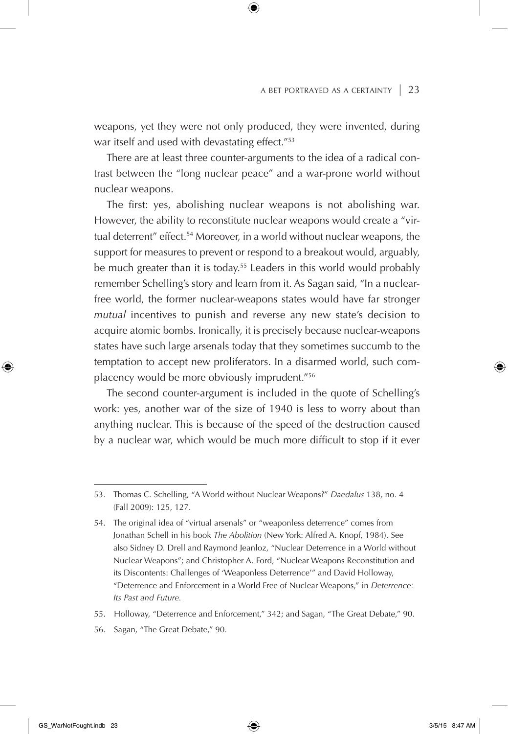weapons, yet they were not only produced, they were invented, during war itself and used with devastating effect."<sup>53</sup>

There are at least three counter-arguments to the idea of a radical contrast between the "long nuclear peace" and a war-prone world without nuclear weapons.

The first: yes, abolishing nuclear weapons is not abolishing war. However, the ability to reconstitute nuclear weapons would create a "virtual deterrent" effect.<sup>54</sup> Moreover, in a world without nuclear weapons, the support for measures to prevent or respond to a breakout would, arguably, be much greater than it is today.<sup>55</sup> Leaders in this world would probably remember Schelling's story and learn from it. As Sagan said, "In a nuclearfree world, the former nuclear-weapons states would have far stronger *mutual* incentives to punish and reverse any new state's decision to acquire atomic bombs. Ironically, it is precisely because nuclear-weapons states have such large arsenals today that they sometimes succumb to the temptation to accept new proliferators. In a disarmed world, such complacency would be more obviously imprudent."56

The second counter-argument is included in the quote of Schelling's work: yes, another war of the size of 1940 is less to worry about than anything nuclear. This is because of the speed of the destruction caused by a nuclear war, which would be much more difficult to stop if it ever

- 55. Holloway, "Deterrence and Enforcement," 342; and Sagan, "The Great Debate," 90.
- 56. Sagan, "The Great Debate," 90.

<sup>53.</sup> Thomas C. Schelling, "A World without Nuclear Weapons?" *Daedalus* 138, no. 4 (Fall 2009): 125, 127.

<sup>54.</sup> The original idea of "virtual arsenals" or "weaponless deterrence" comes from Jonathan Schell in his book *The Abolition* (New York: Alfred A. Knopf, 1984). See also Sidney D. Drell and Raymond Jeanloz, "Nuclear Deterrence in a World without Nuclear Weapons"; and Christopher A. Ford, "Nuclear Weapons Reconstitution and its Discontents: Challenges of 'Weaponless Deterrence'" and David Holloway, "Deterrence and Enforcement in a World Free of Nuclear Weapons," in *Deterrence: Its Past and Future.*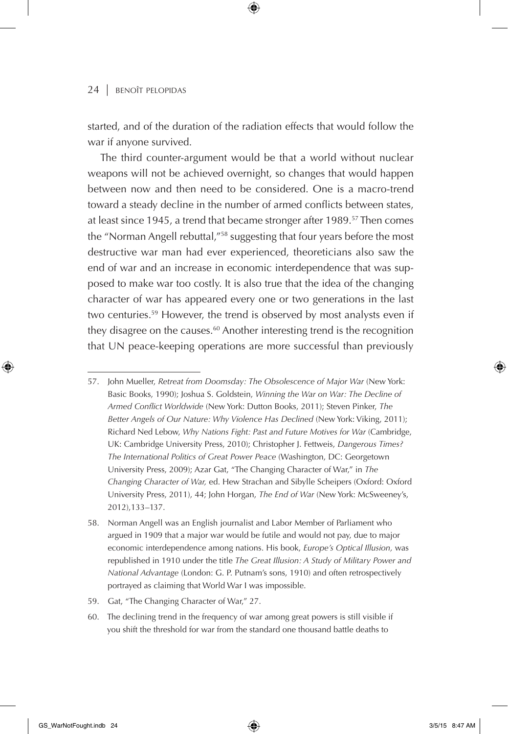started, and of the duration of the radiation effects that would follow the war if anyone survived.

The third counter-argument would be that a world without nuclear weapons will not be achieved overnight, so changes that would happen between now and then need to be considered. One is a macro-trend toward a steady decline in the number of armed conflicts between states, at least since 1945, a trend that became stronger after 1989.<sup>57</sup> Then comes the "Norman Angell rebuttal,"58 suggesting that four years before the most destructive war man had ever experienced, theoreticians also saw the end of war and an increase in economic interdependence that was supposed to make war too costly. It is also true that the idea of the changing character of war has appeared every one or two generations in the last two centuries.<sup>59</sup> However, the trend is observed by most analysts even if they disagree on the causes.<sup>60</sup> Another interesting trend is the recognition that UN peace-keeping operations are more successful than previously

<sup>57.</sup> John Mueller, *Retreat from Doomsday: The Obsolescence of Major War* (New York: Basic Books, 1990); Joshua S. Goldstein, *Winning the War on War: The Decline of Armed Conflict Worldwide* (New York: Dutton Books, 2011); Steven Pinker, *The Better Angels of Our Nature: Why Violence Has Declined* (New York: Viking, 2011); Richard Ned Lebow, *Why Nations Fight: Past and Future Motives for War* (Cambridge, UK: Cambridge University Press, 2010); Christopher J. Fettweis, *Dangerous Times? The International Politics of Great Power Peace* (Washington, DC: Georgetown University Press, 2009); Azar Gat, "The Changing Character of War," in *The Changing Character of War,* ed. Hew Strachan and Sibylle Scheipers (Oxford: Oxford University Press, 2011), 44; John Horgan, *The End of War* (New York: McSweeney's, 2012),133–137.

<sup>58.</sup> Norman Angell was an English journalist and Labor Member of Parliament who argued in 1909 that a major war would be futile and would not pay, due to major economic interdependence among nations. His book, *Europe's Optical Illusion,* was republished in 1910 under the title *The Great Illusion: A Study of Military Power and National Advantage* (London: G. P. Putnam's sons, 1910) and often retrospectively portrayed as claiming that World War I was impossible.

<sup>59.</sup> Gat, "The Changing Character of War," 27.

<sup>60.</sup> The declining trend in the frequency of war among great powers is still visible if you shift the threshold for war from the standard one thousand battle deaths to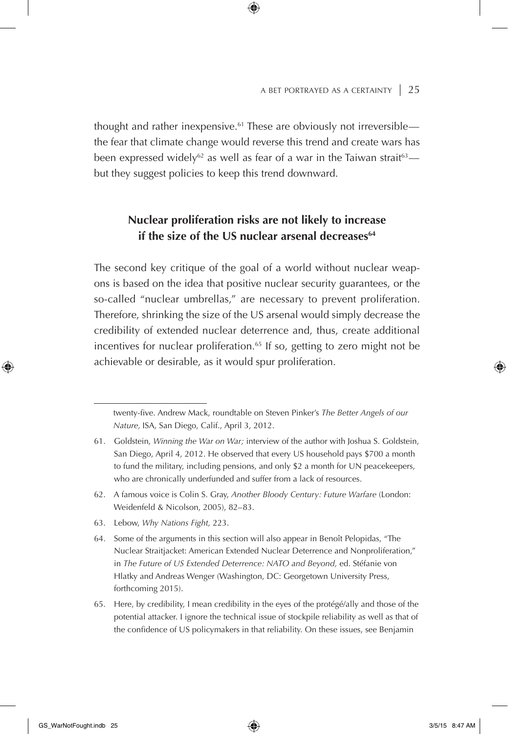thought and rather inexpensive. $61$  These are obviously not irreversible the fear that climate change would reverse this trend and create wars has been expressed widely<sup>62</sup> as well as fear of a war in the Taiwan strait<sup>63</sup> but they suggest policies to keep this trend downward.

# **Nuclear proliferation risks are not likely to increase if the size of the US nuclear arsenal decreases**<sup>64</sup>

The second key critique of the goal of a world without nuclear weapons is based on the idea that positive nuclear security guarantees, or the so-called "nuclear umbrellas," are necessary to prevent proliferation. Therefore, shrinking the size of the US arsenal would simply decrease the credibility of extended nuclear deterrence and, thus, create additional incentives for nuclear proliferation.<sup>65</sup> If so, getting to zero might not be achievable or desirable, as it would spur proliferation.

- 63. Lebow, *Why Nations Fight,* 223.
- 64. Some of the arguments in this section will also appear in Benoît Pelopidas, "The Nuclear Straitjacket: American Extended Nuclear Deterrence and Nonproliferation," in *The Future of US Extended Deterrence: NATO and Beyond,* ed. Stéfanie von Hlatky and Andreas Wenger (Washington, DC: Georgetown University Press, forthcoming 2015).
- 65. Here, by credibility, I mean credibility in the eyes of the protégé/ally and those of the potential attacker. I ignore the technical issue of stockpile reliability as well as that of the confidence of US policymakers in that reliability. On these issues, see Benjamin

twenty-five. Andrew Mack, roundtable on Steven Pinker's *The Better Angels of our Nature,* ISA, San Diego, Calif., April 3, 2012.

<sup>61.</sup> Goldstein, *Winning the War on War;* interview of the author with Joshua S. Goldstein, San Diego, April 4, 2012. He observed that every US household pays \$700 a month to fund the military, including pensions, and only \$2 a month for UN peacekeepers, who are chronically underfunded and suffer from a lack of resources.

<sup>62.</sup> A famous voice is Colin S. Gray, *Another Bloody Century: Future Warfare* (London: Weidenfeld & Nicolson, 2005), 82–83.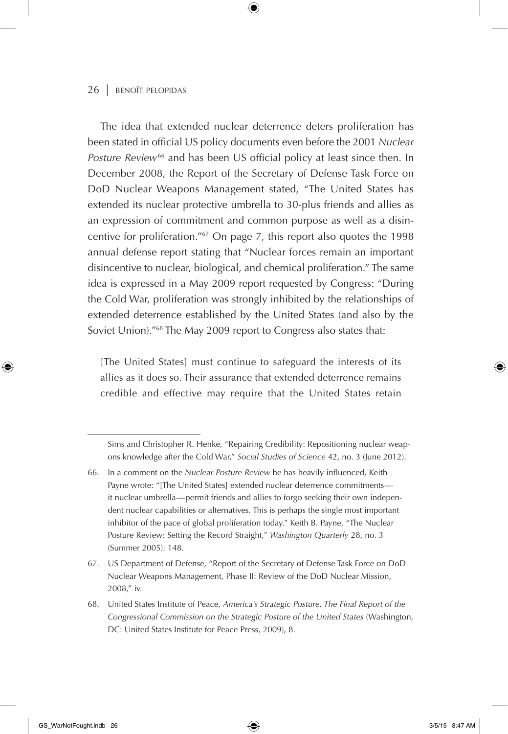The idea that extended nuclear deterrence deters proliferation has been stated in official US policy documents even before the 2001 *Nuclear*  Posture Review<sup>66</sup> and has been US official policy at least since then. In December 2008, the Report of the Secretary of Defense Task Force on DoD Nuclear Weapons Management stated, "The United States has extended its nuclear protective umbrella to 30-plus friends and allies as an expression of commitment and common purpose as well as a disincentive for proliferation."67 On page 7, this report also quotes the 1998 annual defense report stating that "Nuclear forces remain an important disincentive to nuclear, biological, and chemical proliferation." The same idea is expressed in a May 2009 report requested by Congress: "During the Cold War, proliferation was strongly inhibited by the relationships of extended deterrence established by the United States (and also by the Soviet Union)."68 The May 2009 report to Congress also states that:

[The United States] must continue to safeguard the interests of its allies as it does so. Their assurance that extended deterrence remains credible and effective may require that the United States retain

Sims and Christopher R. Henke, "Repairing Credibility: Repositioning nuclear weapons knowledge after the Cold War," *Social Studies of Science* 42, no. 3 (June 2012).

<sup>66.</sup> In a comment on the *Nuclear Posture Review* he has heavily influenced, Keith Payne wrote: "[The United States] extended nuclear deterrence commitments it nuclear umbrella—permit friends and allies to forgo seeking their own independent nuclear capabilities or alternatives. This is perhaps the single most important inhibitor of the pace of global proliferation today." Keith B. Payne, "The Nuclear Posture Review: Setting the Record Straight," *Washington Quarterly* 28, no. 3 (Summer 2005): 148.

<sup>67.</sup> US Department of Defense, "Report of the Secretary of Defense Task Force on DoD Nuclear Weapons Management, Phase II: Review of the DoD Nuclear Mission, 2008," iv.

<sup>68.</sup> United States Institute of Peace, *America's Strategic Posture. The Final Report of the Congressional Commission on the Strategic Posture of the United States* (Washington, DC: United States Institute for Peace Press, 2009), 8.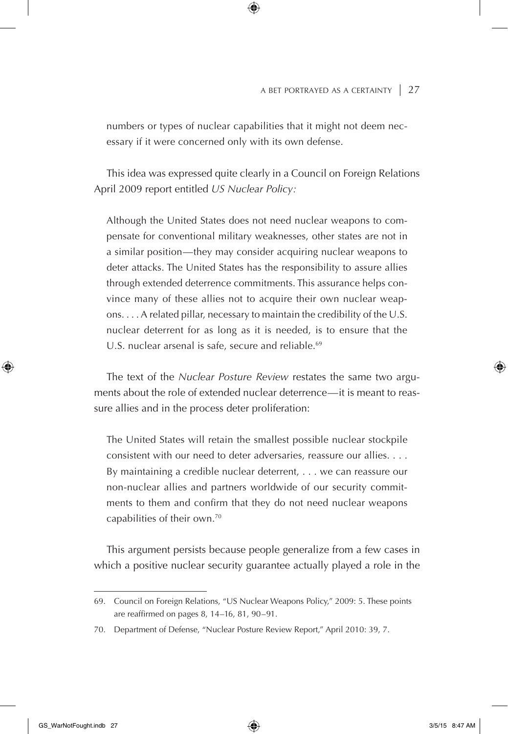numbers or types of nuclear capabilities that it might not deem necessary if it were concerned only with its own defense.

This idea was expressed quite clearly in a Council on Foreign Relations April 2009 report entitled *US Nuclear Policy:*

Although the United States does not need nuclear weapons to compensate for conventional military weaknesses, other states are not in a similar position—they may consider acquiring nuclear weapons to deter attacks. The United States has the responsibility to assure allies through extended deterrence commitments. This assurance helps convince many of these allies not to acquire their own nuclear weapons. . . . A related pillar, necessary to maintain the credibility of the U.S. nuclear deterrent for as long as it is needed, is to ensure that the U.S. nuclear arsenal is safe, secure and reliable.<sup>69</sup>

The text of the *Nuclear Posture Review* restates the same two arguments about the role of extended nuclear deterrence—it is meant to reassure allies and in the process deter proliferation:

The United States will retain the smallest possible nuclear stockpile consistent with our need to deter adversaries, reassure our allies. . . . By maintaining a credible nuclear deterrent, . . . we can reassure our non-nuclear allies and partners worldwide of our security commitments to them and confirm that they do not need nuclear weapons capabilities of their own.70

This argument persists because people generalize from a few cases in which a positive nuclear security guarantee actually played a role in the

<sup>69.</sup> Council on Foreign Relations, "US Nuclear Weapons Policy," 2009: 5. These points are reaffirmed on pages 8, 14–16, 81, 90–91.

<sup>70.</sup> Department of Defense, "Nuclear Posture Review Report," April 2010: 39, 7.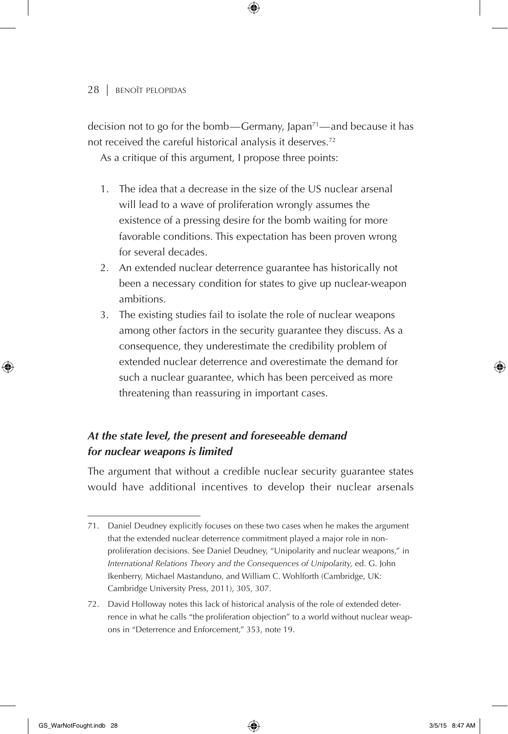decision not to go for the bomb—Germany, Japan<sup>71</sup>—and because it has not received the careful historical analysis it deserves.72

As a critique of this argument, I propose three points:

- 1. The idea that a decrease in the size of the US nuclear arsenal will lead to a wave of proliferation wrongly assumes the existence of a pressing desire for the bomb waiting for more favorable conditions. This expectation has been proven wrong for several decades.
- 2. An extended nuclear deterrence guarantee has historically not been a necessary condition for states to give up nuclear-weapon ambitions.
- 3. The existing studies fail to isolate the role of nuclear weapons among other factors in the security guarantee they discuss. As a consequence, they underestimate the credibility problem of extended nuclear deterrence and overestimate the demand for such a nuclear guarantee, which has been perceived as more threatening than reassuring in important cases.

# *At the state level, the present and foreseeable demand for nuclear weapons is limited*

The argument that without a credible nuclear security guarantee states would have additional incentives to develop their nuclear arsenals

<sup>71.</sup> Daniel Deudney explicitly focuses on these two cases when he makes the argument that the extended nuclear deterrence commitment played a major role in nonproliferation decisions. See Daniel Deudney, "Unipolarity and nuclear weapons," in *International Relations Theory and the Consequences of Unipolarity,* ed. G. John Ikenberry, Michael Mastanduno, and William C. Wohlforth (Cambridge, UK: Cambridge University Press, 2011), 305, 307.

<sup>72.</sup> David Holloway notes this lack of historical analysis of the role of extended deterrence in what he calls "the proliferation objection" to a world without nuclear weapons in "Deterrence and Enforcement," 353, note 19.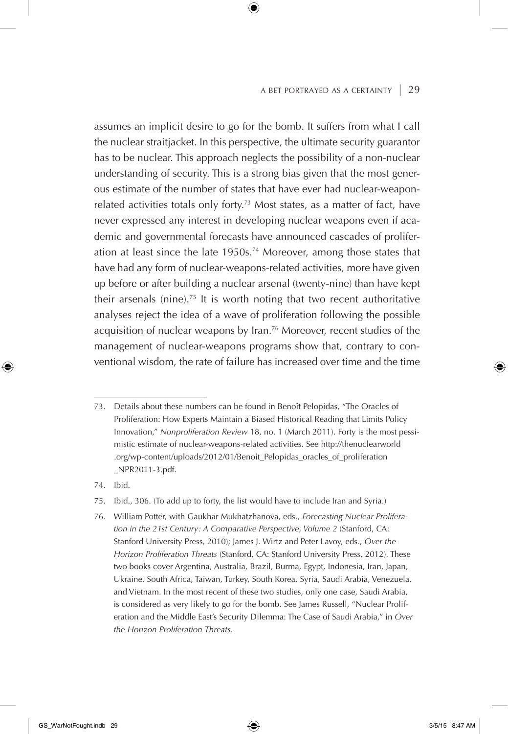assumes an implicit desire to go for the bomb. It suffers from what I call the nuclear straitjacket. In this perspective, the ultimate security guarantor has to be nuclear. This approach neglects the possibility of a non-nuclear understanding of security. This is a strong bias given that the most generous estimate of the number of states that have ever had nuclear-weaponrelated activities totals only forty.<sup>73</sup> Most states, as a matter of fact, have never expressed any interest in developing nuclear weapons even if academic and governmental forecasts have announced cascades of proliferation at least since the late  $1950s<sup>74</sup>$  Moreover, among those states that have had any form of nuclear-weapons-related activities, more have given up before or after building a nuclear arsenal (twenty-nine) than have kept their arsenals (nine). $75$  It is worth noting that two recent authoritative analyses reject the idea of a wave of proliferation following the possible acquisition of nuclear weapons by Iran.76 Moreover, recent studies of the management of nuclear-weapons programs show that, contrary to conventional wisdom, the rate of failure has increased over time and the time

74. Ibid.

75. Ibid., 306. (To add up to forty, the list would have to include Iran and Syria.)

<sup>73.</sup> Details about these numbers can be found in Benoît Pelopidas, "The Oracles of Proliferation: How Experts Maintain a Biased Historical Reading that Limits Policy Innovation," *Nonproliferation Review* 18, no. 1 (March 2011). Forty is the most pessimistic estimate of nuclear-weapons-related activities. See http://thenuclearworld .org/wp-content/uploads/2012/01/Benoit\_Pelopidas\_oracles\_of\_proliferation \_NPR2011-3.pdf.

<sup>76.</sup> William Potter, with Gaukhar Mukhatzhanova, eds., *Forecasting Nuclear Proliferation in the 21st Century: A Comparative Perspective, Volume 2* (Stanford, CA: Stanford University Press, 2010); James J. Wirtz and Peter Lavoy, eds., *Over the Horizon Proliferation Threats* (Stanford, CA: Stanford University Press, 2012). These two books cover Argentina, Australia, Brazil, Burma, Egypt, Indonesia, Iran, Japan, Ukraine, South Africa, Taiwan, Turkey, South Korea, Syria, Saudi Arabia, Venezuela, and Vietnam. In the most recent of these two studies, only one case, Saudi Arabia, is considered as very likely to go for the bomb. See James Russell, "Nuclear Proliferation and the Middle East's Security Dilemma: The Case of Saudi Arabia," in *Over the Horizon Proliferation Threats.*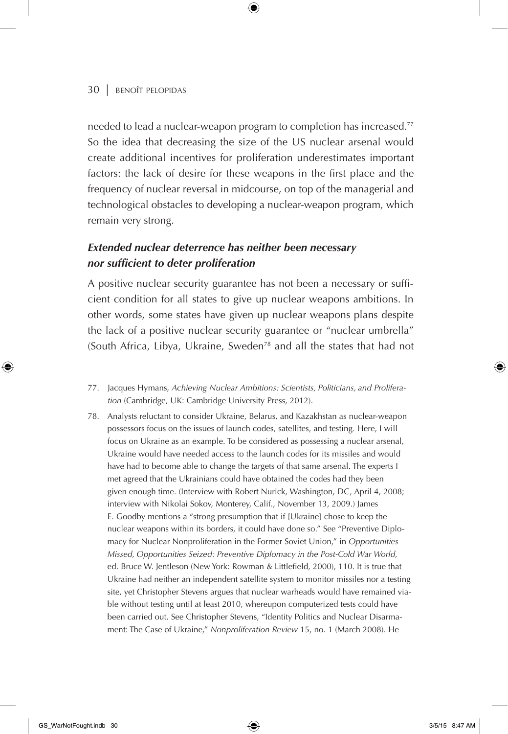needed to lead a nuclear-weapon program to completion has increased.<sup>77</sup> So the idea that decreasing the size of the US nuclear arsenal would create additional incentives for proliferation underestimates important factors: the lack of desire for these weapons in the first place and the frequency of nuclear reversal in midcourse, on top of the managerial and technological obstacles to developing a nuclear-weapon program, which remain very strong.

# *Extended nuclear deterrence has neither been necessary nor sufficient to deter proliferation*

A positive nuclear security guarantee has not been a necessary or sufficient condition for all states to give up nuclear weapons ambitions. In other words, some states have given up nuclear weapons plans despite the lack of a positive nuclear security guarantee or "nuclear umbrella" (South Africa, Libya, Ukraine, Sweden78 and all the states that had not

<sup>77.</sup> Jacques Hymans, *Achieving Nuclear Ambitions: Scientists, Politicians, and Proliferation* (Cambridge, UK: Cambridge University Press, 2012).

<sup>78.</sup> Analysts reluctant to consider Ukraine, Belarus, and Kazakhstan as nuclear-weapon possessors focus on the issues of launch codes, satellites, and testing. Here, I will focus on Ukraine as an example. To be considered as possessing a nuclear arsenal, Ukraine would have needed access to the launch codes for its missiles and would have had to become able to change the targets of that same arsenal. The experts I met agreed that the Ukrainians could have obtained the codes had they been given enough time. (Interview with Robert Nurick, Washington, DC, April 4, 2008; interview with Nikolai Sokov, Monterey, Calif., November 13, 2009.) James E. Goodby mentions a "strong presumption that if [Ukraine] chose to keep the nuclear weapons within its borders, it could have done so." See "Preventive Diplomacy for Nuclear Nonproliferation in the Former Soviet Union," in *Opportunities Missed, Opportunities Seized: Preventive Diplomacy in the Post-Cold War World,* ed. Bruce W. Jentleson (New York: Rowman & Littlefield, 2000), 110. It is true that Ukraine had neither an independent satellite system to monitor missiles nor a testing site, yet Christopher Stevens argues that nuclear warheads would have remained viable without testing until at least 2010, whereupon computerized tests could have been carried out. See Christopher Stevens, "Identity Politics and Nuclear Disarmament: The Case of Ukraine," *Nonproliferation Review* 15, no. 1 (March 2008). He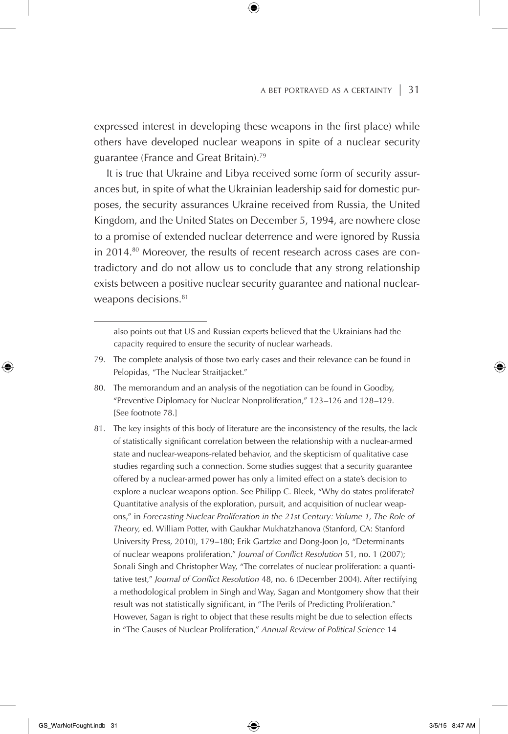expressed interest in developing these weapons in the first place) while others have developed nuclear weapons in spite of a nuclear security guarantee (France and Great Britain).79

It is true that Ukraine and Libya received some form of security assurances but, in spite of what the Ukrainian leadership said for domestic purposes, the security assurances Ukraine received from Russia, the United Kingdom, and the United States on December 5, 1994, are nowhere close to a promise of extended nuclear deterrence and were ignored by Russia in 2014.<sup>80</sup> Moreover, the results of recent research across cases are contradictory and do not allow us to conclude that any strong relationship exists between a positive nuclear security guarantee and national nuclearweapons decisions.<sup>81</sup>

- 80. The memorandum and an analysis of the negotiation can be found in Goodby, "Preventive Diplomacy for Nuclear Nonproliferation," 123–126 and 128–129. [See footnote 78.]
- 81. The key insights of this body of literature are the inconsistency of the results, the lack of statistically significant correlation between the relationship with a nuclear-armed state and nuclear-weapons-related behavior, and the skepticism of qualitative case studies regarding such a connection. Some studies suggest that a security guarantee offered by a nuclear-armed power has only a limited effect on a state's decision to explore a nuclear weapons option. See Philipp C. Bleek, "Why do states proliferate? Quantitative analysis of the exploration, pursuit, and acquisition of nuclear weapons," in *Forecasting Nuclear Proliferation in the 21st Century: Volume 1, The Role of Theory,* ed. William Potter, with Gaukhar Mukhatzhanova (Stanford, CA: Stanford University Press, 2010), 179–180; Erik Gartzke and Dong-Joon Jo, "Determinants of nuclear weapons proliferation," *Journal of Conflict Resolution* 51, no. 1 (2007); Sonali Singh and Christopher Way, "The correlates of nuclear proliferation: a quantitative test," *Journal of Conflict Resolution* 48, no. 6 (December 2004). After rectifying a methodological problem in Singh and Way, Sagan and Montgomery show that their result was not statistically significant, in "The Perils of Predicting Proliferation." However, Sagan is right to object that these results might be due to selection effects in "The Causes of Nuclear Proliferation," *Annual Review of Political Science* 14

also points out that US and Russian experts believed that the Ukrainians had the capacity required to ensure the security of nuclear warheads.

<sup>79.</sup> The complete analysis of those two early cases and their relevance can be found in Pelopidas, "The Nuclear Straitjacket."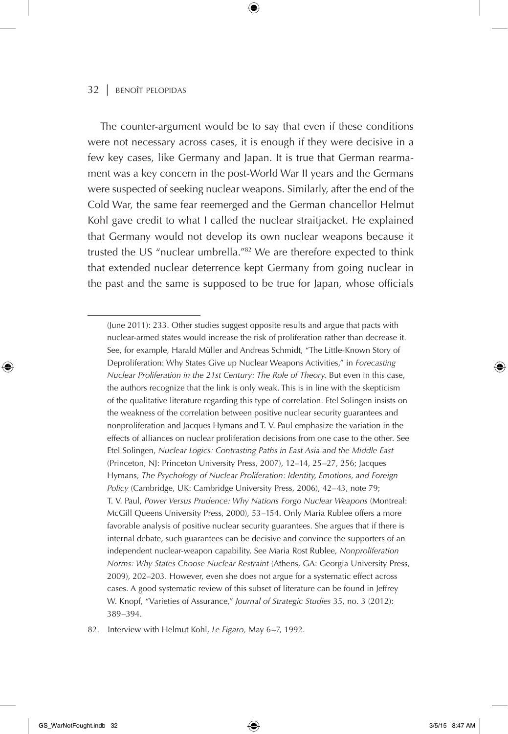The counter-argument would be to say that even if these conditions were not necessary across cases, it is enough if they were decisive in a few key cases, like Germany and Japan. It is true that German rearmament was a key concern in the post-World War II years and the Germans were suspected of seeking nuclear weapons. Similarly, after the end of the Cold War, the same fear reemerged and the German chancellor Helmut Kohl gave credit to what I called the nuclear straitjacket. He explained that Germany would not develop its own nuclear weapons because it trusted the US "nuclear umbrella."82 We are therefore expected to think that extended nuclear deterrence kept Germany from going nuclear in the past and the same is supposed to be true for Japan, whose officials

<sup>(</sup>June 2011): 233. Other studies suggest opposite results and argue that pacts with nuclear-armed states would increase the risk of proliferation rather than decrease it. See, for example, Harald Müller and Andreas Schmidt, "The Little-Known Story of Deproliferation: Why States Give up Nuclear Weapons Activities," in *Forecasting Nuclear Proliferation in the 21st Century: The Role of Theory.* But even in this case, the authors recognize that the link is only weak. This is in line with the skepticism of the qualitative literature regarding this type of correlation. Etel Solingen insists on the weakness of the correlation between positive nuclear security guarantees and nonproliferation and Jacques Hymans and T. V. Paul emphasize the variation in the effects of alliances on nuclear proliferation decisions from one case to the other. See Etel Solingen, *Nuclear Logics: Contrasting Paths in East Asia and the Middle East* (Princeton, NJ: Princeton University Press, 2007), 12–14, 25–27, 256; Jacques Hymans, *The Psychology of Nuclear Proliferation: Identity, Emotions, and Foreign Policy* (Cambridge, UK: Cambridge University Press, 2006), 42–43, note 79; T. V. Paul, *Power Versus Prudence: Why Nations Forgo Nuclear Weapons* (Montreal: McGill Queens University Press, 2000), 53–154. Only Maria Rublee offers a more favorable analysis of positive nuclear security guarantees. She argues that if there is internal debate, such guarantees can be decisive and convince the supporters of an independent nuclear-weapon capability. See Maria Rost Rublee, *Nonproliferation Norms: Why States Choose Nuclear Restraint* (Athens, GA: Georgia University Press, 2009), 202–203. However, even she does not argue for a systematic effect across cases. A good systematic review of this subset of literature can be found in Jeffrey W. Knopf, "Varieties of Assurance," *Journal of Strategic Studies* 35, no. 3 (2012): 389–394.

<sup>82.</sup> Interview with Helmut Kohl, *Le Figaro,* May 6–7, 1992.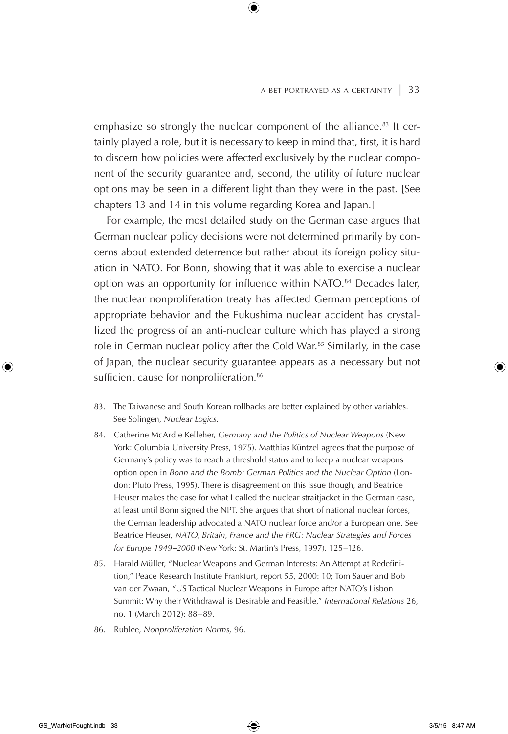emphasize so strongly the nuclear component of the alliance.<sup>83</sup> It certainly played a role, but it is necessary to keep in mind that, first, it is hard to discern how policies were affected exclusively by the nuclear component of the security guarantee and, second, the utility of future nuclear options may be seen in a different light than they were in the past. [See chapters 13 and 14 in this volume regarding Korea and Japan.]

For example, the most detailed study on the German case argues that German nuclear policy decisions were not determined primarily by concerns about extended deterrence but rather about its foreign policy situation in NATO. For Bonn, showing that it was able to exercise a nuclear option was an opportunity for influence within NATO.<sup>84</sup> Decades later, the nuclear nonproliferation treaty has affected German perceptions of appropriate behavior and the Fukushima nuclear accident has crystallized the progress of an anti-nuclear culture which has played a strong role in German nuclear policy after the Cold War.<sup>85</sup> Similarly, in the case of Japan, the nuclear security guarantee appears as a necessary but not sufficient cause for nonproliferation.<sup>86</sup>

- 84. Catherine McArdle Kelleher, *Germany and the Politics of Nuclear Weapons* (New York: Columbia University Press, 1975). Matthias Küntzel agrees that the purpose of Germany's policy was to reach a threshold status and to keep a nuclear weapons option open in *Bonn and the Bomb: German Politics and the Nuclear Option* (London: Pluto Press, 1995). There is disagreement on this issue though, and Beatrice Heuser makes the case for what I called the nuclear straitjacket in the German case, at least until Bonn signed the NPT. She argues that short of national nuclear forces, the German leadership advocated a NATO nuclear force and/or a European one. See Beatrice Heuser, *NATO, Britain, France and the FRG: Nuclear Strategies and Forces for Europe 1949–2000* (New York: St. Martin's Press, 1997), 125–126.
- 85. Harald Müller, "Nuclear Weapons and German Interests: An Attempt at Redefinition," Peace Research Institute Frankfurt, report 55, 2000: 10; Tom Sauer and Bob van der Zwaan, "US Tactical Nuclear Weapons in Europe after NATO's Lisbon Summit: Why their Withdrawal is Desirable and Feasible," *International Relations* 26, no. 1 (March 2012): 88–89.
- 86. Rublee, *Nonproliferation Norms,* 96.

<sup>83.</sup> The Taiwanese and South Korean rollbacks are better explained by other variables. See Solingen, *Nuclear Logics.*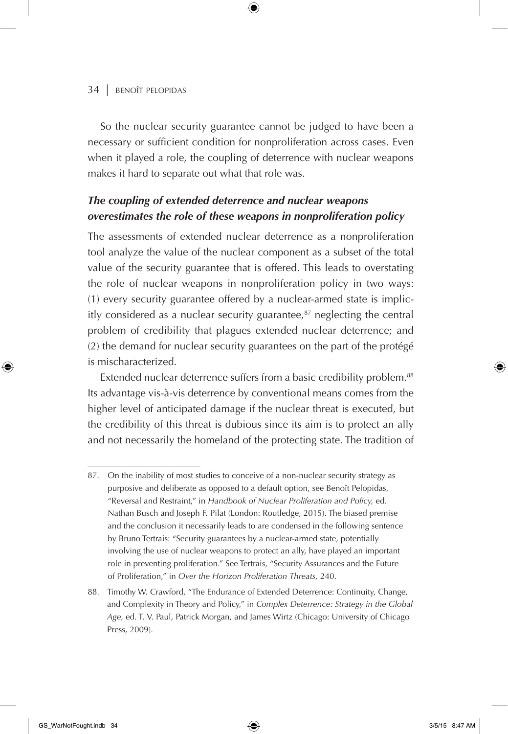So the nuclear security guarantee cannot be judged to have been a necessary or sufficient condition for nonproliferation across cases. Even when it played a role, the coupling of deterrence with nuclear weapons makes it hard to separate out what that role was.

# *The coupling of extended deterrence and nuclear weapons overestimates the role of these weapons in nonproliferation policy*

The assessments of extended nuclear deterrence as a nonproliferation tool analyze the value of the nuclear component as a subset of the total value of the security guarantee that is offered. This leads to overstating the role of nuclear weapons in nonproliferation policy in two ways: (1) every security guarantee offered by a nuclear-armed state is implicitly considered as a nuclear security guarantee, $87$  neglecting the central problem of credibility that plagues extended nuclear deterrence; and (2) the demand for nuclear security guarantees on the part of the protégé is mischaracterized.

Extended nuclear deterrence suffers from a basic credibility problem.<sup>88</sup> Its advantage vis-à-vis deterrence by conventional means comes from the higher level of anticipated damage if the nuclear threat is executed, but the credibility of this threat is dubious since its aim is to protect an ally and not necessarily the homeland of the protecting state. The tradition of

<sup>87.</sup> On the inability of most studies to conceive of a non-nuclear security strategy as purposive and deliberate as opposed to a default option, see Benoît Pelopidas, "Reversal and Restraint," in *Handbook of Nuclear Proliferation and Policy,* ed. Nathan Busch and Joseph F. Pilat (London: Routledge, 2015). The biased premise and the conclusion it necessarily leads to are condensed in the following sentence by Bruno Tertrais: "Security guarantees by a nuclear-armed state, potentially involving the use of nuclear weapons to protect an ally, have played an important role in preventing proliferation." See Tertrais, "Security Assurances and the Future of Proliferation," in *Over the Horizon Proliferation Threats,* 240.

<sup>88.</sup> Timothy W. Crawford, "The Endurance of Extended Deterrence: Continuity, Change, and Complexity in Theory and Policy," in *Complex Deterrence: Strategy in the Global Age,* ed. T. V. Paul, Patrick Morgan, and James Wirtz (Chicago: University of Chicago Press, 2009).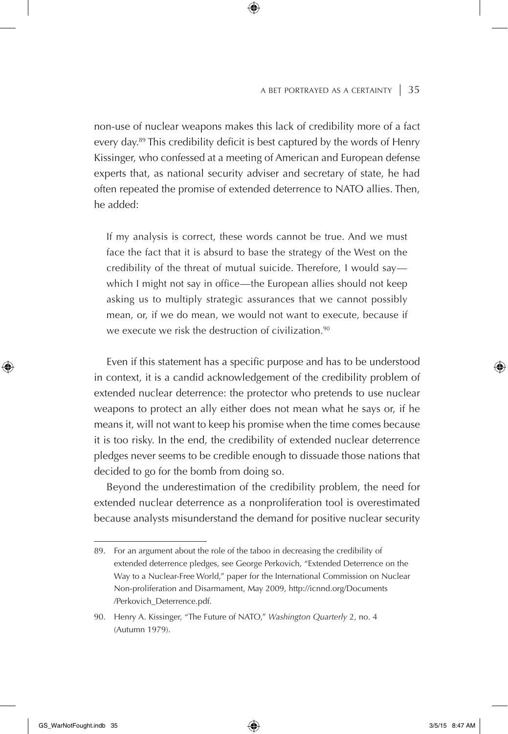non-use of nuclear weapons makes this lack of credibility more of a fact every day.<sup>89</sup> This credibility deficit is best captured by the words of Henry Kissinger, who confessed at a meeting of American and European defense experts that, as national security adviser and secretary of state, he had often repeated the promise of extended deterrence to NATO allies. Then, he added:

If my analysis is correct, these words cannot be true. And we must face the fact that it is absurd to base the strategy of the West on the credibility of the threat of mutual suicide. Therefore, I would say which I might not say in office—the European allies should not keep asking us to multiply strategic assurances that we cannot possibly mean, or, if we do mean, we would not want to execute, because if we execute we risk the destruction of civilization.<sup>90</sup>

Even if this statement has a specific purpose and has to be understood in context, it is a candid acknowledgement of the credibility problem of extended nuclear deterrence: the protector who pretends to use nuclear weapons to protect an ally either does not mean what he says or, if he means it, will not want to keep his promise when the time comes because it is too risky. In the end, the credibility of extended nuclear deterrence pledges never seems to be credible enough to dissuade those nations that decided to go for the bomb from doing so.

Beyond the underestimation of the credibility problem, the need for extended nuclear deterrence as a nonproliferation tool is overestimated because analysts misunderstand the demand for positive nuclear security

<sup>89.</sup> For an argument about the role of the taboo in decreasing the credibility of extended deterrence pledges, see George Perkovich, "Extended Deterrence on the Way to a Nuclear-Free World," paper for the International Commission on Nuclear Non-proliferation and Disarmament, May 2009, http://icnnd.org/Documents /Perkovich\_Deterrence.pdf.

<sup>90.</sup> Henry A. Kissinger, "The Future of NATO," *Washington Quarterly* 2, no. 4 (Autumn 1979).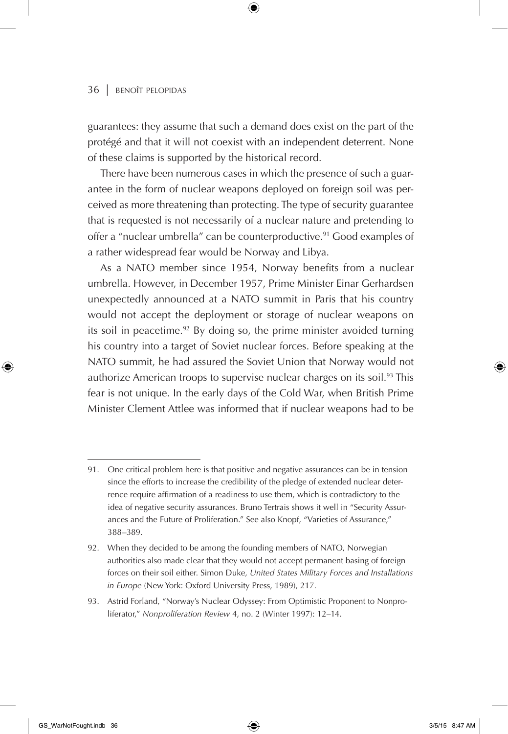guarantees: they assume that such a demand does exist on the part of the protégé and that it will not coexist with an independent deterrent. None of these claims is supported by the historical record.

There have been numerous cases in which the presence of such a guarantee in the form of nuclear weapons deployed on foreign soil was perceived as more threatening than protecting. The type of security guarantee that is requested is not necessarily of a nuclear nature and pretending to offer a "nuclear umbrella" can be counterproductive.<sup>91</sup> Good examples of a rather widespread fear would be Norway and Libya.

As a NATO member since 1954, Norway benefits from a nuclear umbrella. However, in December 1957, Prime Minister Einar Gerhardsen unexpectedly announced at a NATO summit in Paris that his country would not accept the deployment or storage of nuclear weapons on its soil in peacetime.<sup>92</sup> By doing so, the prime minister avoided turning his country into a target of Soviet nuclear forces. Before speaking at the NATO summit, he had assured the Soviet Union that Norway would not authorize American troops to supervise nuclear charges on its soil.<sup>93</sup> This fear is not unique. In the early days of the Cold War, when British Prime Minister Clement Attlee was informed that if nuclear weapons had to be

<sup>91.</sup> One critical problem here is that positive and negative assurances can be in tension since the efforts to increase the credibility of the pledge of extended nuclear deterrence require affirmation of a readiness to use them, which is contradictory to the idea of negative security assurances. Bruno Tertrais shows it well in "Security Assurances and the Future of Proliferation." See also Knopf, "Varieties of Assurance," 388–389.

<sup>92.</sup> When they decided to be among the founding members of NATO, Norwegian authorities also made clear that they would not accept permanent basing of foreign forces on their soil either. Simon Duke, *United States Military Forces and Installations in Europe* (New York: Oxford University Press, 1989), 217.

<sup>93.</sup> Astrid Forland, "Norway's Nuclear Odyssey: From Optimistic Proponent to Nonproliferator," *Nonproliferation Review* 4, no. 2 (Winter 1997): 12–14.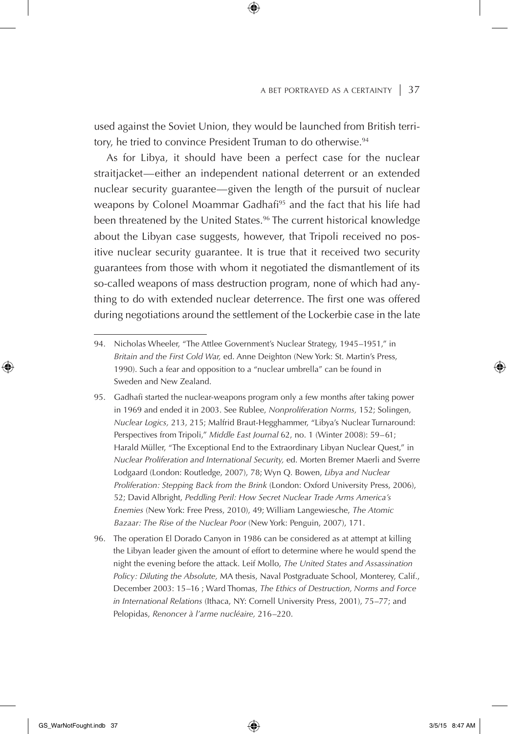used against the Soviet Union, they would be launched from British territory, he tried to convince President Truman to do otherwise.<sup>94</sup>

As for Libya, it should have been a perfect case for the nuclear straitjacket—either an independent national deterrent or an extended nuclear security guarantee—given the length of the pursuit of nuclear weapons by Colonel Moammar Gadhafi<sup>95</sup> and the fact that his life had been threatened by the United States.<sup>96</sup> The current historical knowledge about the Libyan case suggests, however, that Tripoli received no positive nuclear security guarantee. It is true that it received two security guarantees from those with whom it negotiated the dismantlement of its so-called weapons of mass destruction program, none of which had anything to do with extended nuclear deterrence. The first one was offered during negotiations around the settlement of the Lockerbie case in the late

<sup>94.</sup> Nicholas Wheeler, "The Attlee Government's Nuclear Strategy, 1945–1951," in *Britain and the First Cold War,* ed. Anne Deighton (New York: St. Martin's Press, 1990). Such a fear and opposition to a "nuclear umbrella" can be found in Sweden and New Zealand.

<sup>95.</sup> Gadhafi started the nuclear-weapons program only a few months after taking power in 1969 and ended it in 2003. See Rublee, *Nonproliferation Norms,* 152; Solingen, *Nuclear Logics,* 213, 215; Malfrid Braut-Hegghammer, "Libya's Nuclear Turnaround: Perspectives from Tripoli," *Middle East Journal* 62, no. 1 (Winter 2008): 59–61; Harald Müller, "The Exceptional End to the Extraordinary Libyan Nuclear Quest," in *Nuclear Proliferation and International Security,* ed. Morten Bremer Maerli and Sverre Lodgaard (London: Routledge, 2007), 78; Wyn Q. Bowen, *Libya and Nuclear Proliferation: Stepping Back from the Brink* (London: Oxford University Press, 2006), 52; David Albright, *Peddling Peril: How Secret Nuclear Trade Arms America's Enemies* (New York: Free Press, 2010), 49; William Langewiesche, *The Atomic Bazaar: The Rise of the Nuclear Poor* (New York: Penguin, 2007), 171.

<sup>96.</sup> The operation El Dorado Canyon in 1986 can be considered as at attempt at killing the Libyan leader given the amount of effort to determine where he would spend the night the evening before the attack. Leif Mollo, *The United States and Assassination Policy: Diluting the Absolute,* MA thesis, Naval Postgraduate School, Monterey, Calif., December 2003: 15–16 ; Ward Thomas, *The Ethics of Destruction, Norms and Force in International Relations* (Ithaca, NY: Cornell University Press, 2001), 75–77; and Pelopidas, *Renoncer à l'arme nucléaire,* 216–220.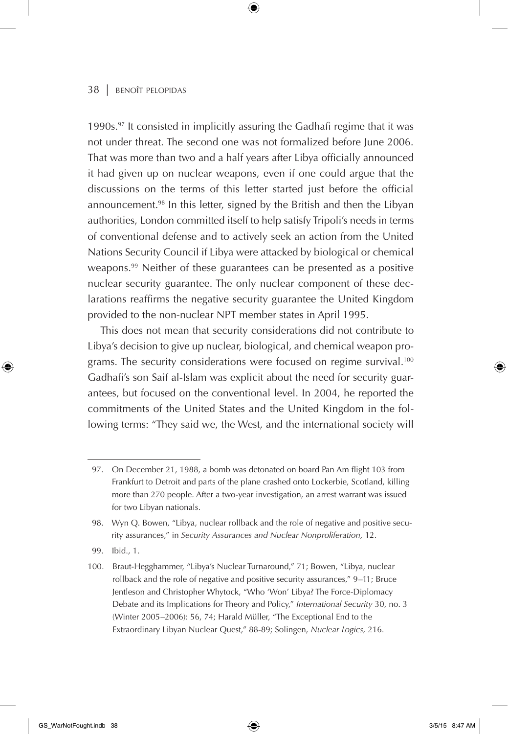1990s.<sup>97</sup> It consisted in implicitly assuring the Gadhafi regime that it was not under threat. The second one was not formalized before June 2006. That was more than two and a half years after Libya officially announced it had given up on nuclear weapons, even if one could argue that the discussions on the terms of this letter started just before the official announcement.98 In this letter, signed by the British and then the Libyan authorities, London committed itself to help satisfy Tripoli's needs in terms of conventional defense and to actively seek an action from the United Nations Security Council if Libya were attacked by biological or chemical weapons.99 Neither of these guarantees can be presented as a positive nuclear security guarantee. The only nuclear component of these declarations reaffirms the negative security guarantee the United Kingdom provided to the non-nuclear NPT member states in April 1995.

This does not mean that security considerations did not contribute to Libya's decision to give up nuclear, biological, and chemical weapon programs. The security considerations were focused on regime survival.<sup>100</sup> Gadhafi's son Saif al-Islam was explicit about the need for security guarantees, but focused on the conventional level. In 2004, he reported the commitments of the United States and the United Kingdom in the following terms: "They said we, the West, and the international society will

99. Ibid., 1.

<sup>97.</sup> On December 21, 1988, a bomb was detonated on board Pan Am flight 103 from Frankfurt to Detroit and parts of the plane crashed onto Lockerbie, Scotland, killing more than 270 people. After a two-year investigation, an arrest warrant was issued for two Libyan nationals.

<sup>98.</sup> Wyn Q. Bowen, "Libya, nuclear rollback and the role of negative and positive security assurances," in *Security Assurances and Nuclear Nonproliferation,* 12.

<sup>100.</sup> Braut-Hegghammer, "Libya's Nuclear Turnaround," 71; Bowen, "Libya, nuclear rollback and the role of negative and positive security assurances," 9–11; Bruce Jentleson and Christopher Whytock, "Who 'Won' Libya? The Force-Diplomacy Debate and its Implications for Theory and Policy," *International Security* 30, no. 3 (Winter 2005–2006): 56, 74; Harald Müller, "The Exceptional End to the Extraordinary Libyan Nuclear Quest," 88-89; Solingen, *Nuclear Logics,* 216.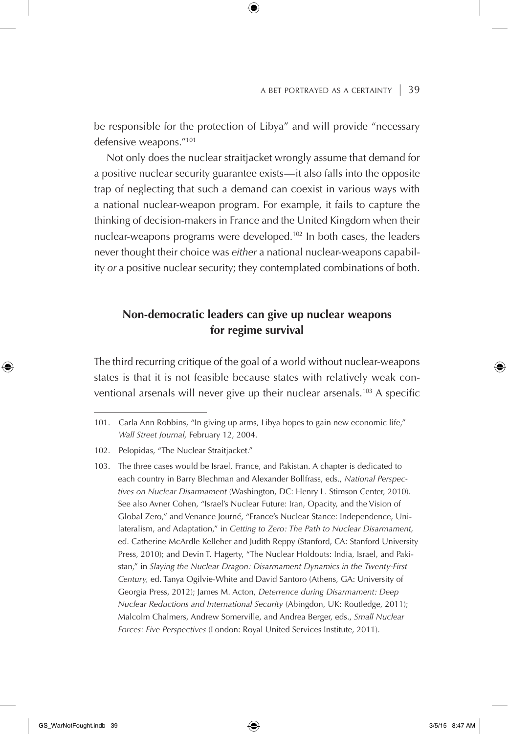be responsible for the protection of Libya" and will provide "necessary defensive weapons."101

Not only does the nuclear straitjacket wrongly assume that demand for a positive nuclear security guarantee exists—it also falls into the opposite trap of neglecting that such a demand can coexist in various ways with a national nuclear-weapon program. For example, it fails to capture the thinking of decision-makers in France and the United Kingdom when their nuclear-weapons programs were developed.<sup>102</sup> In both cases, the leaders never thought their choice was *either* a national nuclear-weapons capability *or* a positive nuclear security; they contemplated combinations of both.

# **Non-democratic leaders can give up nuclear weapons for regime survival**

The third recurring critique of the goal of a world without nuclear-weapons states is that it is not feasible because states with relatively weak conventional arsenals will never give up their nuclear arsenals.<sup>103</sup> A specific

<sup>101.</sup> Carla Ann Robbins, "In giving up arms, Libya hopes to gain new economic life," *Wall Street Journal,* February 12, 2004.

<sup>102.</sup> Pelopidas, "The Nuclear Straitjacket."

<sup>103.</sup> The three cases would be Israel, France, and Pakistan. A chapter is dedicated to each country in Barry Blechman and Alexander Bollfrass, eds., *National Perspectives on Nuclear Disarmament* (Washington, DC: Henry L. Stimson Center, 2010). See also Avner Cohen, "Israel's Nuclear Future: Iran, Opacity, and the Vision of Global Zero," and Venance Journé, "France's Nuclear Stance: Independence, Unilateralism, and Adaptation," in *Getting to Zero: The Path to Nuclear Disarmament,*  ed. Catherine McArdle Kelleher and Judith Reppy (Stanford, CA: Stanford University Press, 2010); and Devin T. Hagerty, "The Nuclear Holdouts: India, Israel, and Pakistan," in *Slaying the Nuclear Dragon: Disarmament Dynamics in the Twenty-First Century,* ed. Tanya Ogilvie-White and David Santoro (Athens, GA: University of Georgia Press, 2012); James M. Acton, *Deterrence during Disarmament: Deep Nuclear Reductions and International Security* (Abingdon, UK: Routledge, 2011); Malcolm Chalmers, Andrew Somerville, and Andrea Berger, eds., *Small Nuclear Forces: Five Perspectives* (London: Royal United Services Institute, 2011).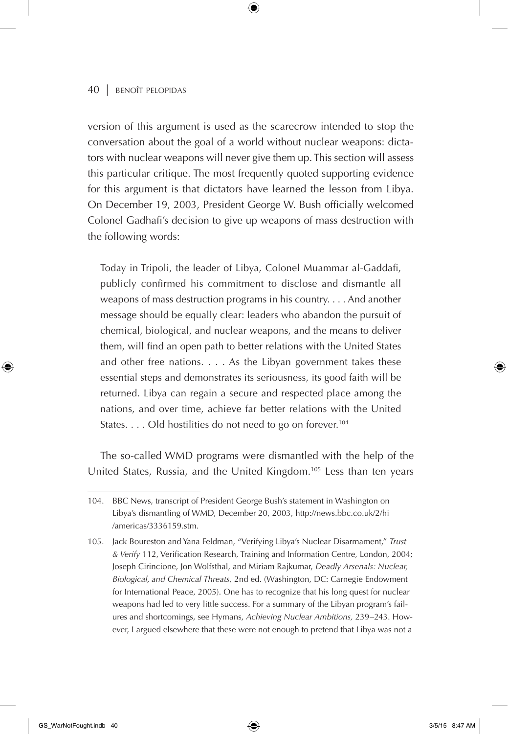version of this argument is used as the scarecrow intended to stop the conversation about the goal of a world without nuclear weapons: dictators with nuclear weapons will never give them up. This section will assess this particular critique. The most frequently quoted supporting evidence for this argument is that dictators have learned the lesson from Libya. On December 19, 2003, President George W. Bush officially welcomed Colonel Gadhafi's decision to give up weapons of mass destruction with the following words:

Today in Tripoli, the leader of Libya, Colonel Muammar al-Gaddafi, publicly confirmed his commitment to disclose and dismantle all weapons of mass destruction programs in his country. . . . And another message should be equally clear: leaders who abandon the pursuit of chemical, biological, and nuclear weapons, and the means to deliver them, will find an open path to better relations with the United States and other free nations. . . . As the Libyan government takes these essential steps and demonstrates its seriousness, its good faith will be returned. Libya can regain a secure and respected place among the nations, and over time, achieve far better relations with the United States. . . . Old hostilities do not need to go on forever.<sup>104</sup>

The so-called WMD programs were dismantled with the help of the United States, Russia, and the United Kingdom.105 Less than ten years

<sup>104.</sup> BBC News, transcript of President George Bush's statement in Washington on Libya's dismantling of WMD, December 20, 2003, http://news.bbc.co.uk/2/hi /americas/3336159.stm.

<sup>105.</sup> Jack Boureston and Yana Feldman, "Verifying Libya's Nuclear Disarmament," *Trust & Verify* 112, Verification Research, Training and Information Centre, London, 2004; Joseph Cirincione, Jon Wolfsthal, and Miriam Rajkumar, *Deadly Arsenals: Nuclear, Biological, and Chemical Threats,* 2nd ed. (Washington, DC: Carnegie Endowment for International Peace, 2005). One has to recognize that his long quest for nuclear weapons had led to very little success. For a summary of the Libyan program's failures and shortcomings, see Hymans, *Achieving Nuclear Ambitions,* 239–243. However, I argued elsewhere that these were not enough to pretend that Libya was not a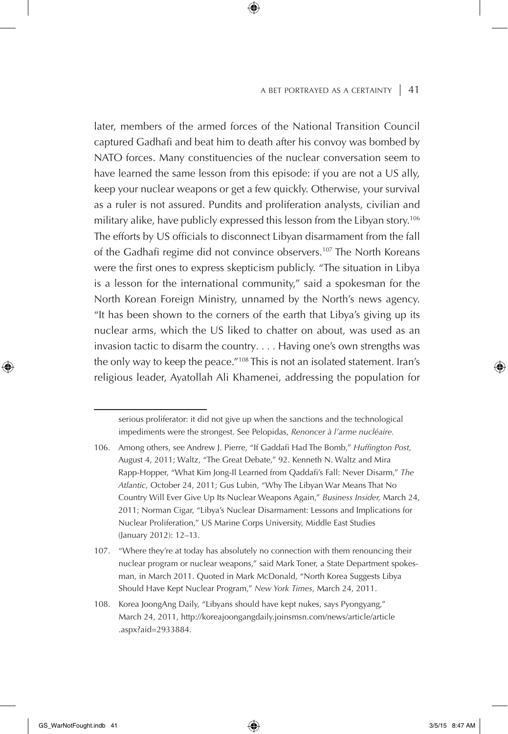later, members of the armed forces of the National Transition Council captured Gadhafi and beat him to death after his convoy was bombed by NATO forces. Many constituencies of the nuclear conversation seem to have learned the same lesson from this episode: if you are not a US ally, keep your nuclear weapons or get a few quickly. Otherwise, your survival as a ruler is not assured. Pundits and proliferation analysts, civilian and military alike, have publicly expressed this lesson from the Libyan story.<sup>106</sup> The efforts by US officials to disconnect Libyan disarmament from the fall of the Gadhafi regime did not convince observers.<sup>107</sup> The North Koreans were the first ones to express skepticism publicly. "The situation in Libya is a lesson for the international community," said a spokesman for the North Korean Foreign Ministry, unnamed by the North's news agency. "It has been shown to the corners of the earth that Libya's giving up its nuclear arms, which the US liked to chatter on about, was used as an invasion tactic to disarm the country. . . . Having one's own strengths was the only way to keep the peace."<sup>108</sup> This is not an isolated statement. Iran's religious leader, Ayatollah Ali Khamenei, addressing the population for

serious proliferator: it did not give up when the sanctions and the technological impediments were the strongest. See Pelopidas, *Renoncer à l'arme nucléaire.*

<sup>106.</sup> Among others, see Andrew J. Pierre, "If Gaddafi Had The Bomb," *Huffington Post,*  August 4, 2011; Waltz, "The Great Debate," 92. Kenneth N. Waltz and Mira Rapp-Hopper, "What Kim Jong-Il Learned from Qaddafi's Fall: Never Disarm," *The Atlantic,* October 24, 2011; Gus Lubin, "Why The Libyan War Means That No Country Will Ever Give Up Its Nuclear Weapons Again," *Business Insider,* March 24, 2011; Norman Cigar, "Libya's Nuclear Disarmament: Lessons and Implications for Nuclear Proliferation," US Marine Corps University, Middle East Studies (January 2012): 12–13.

<sup>107. &</sup>quot;Where they're at today has absolutely no connection with them renouncing their nuclear program or nuclear weapons," said Mark Toner, a State Department spokesman, in March 2011. Quoted in Mark McDonald, "North Korea Suggests Libya Should Have Kept Nuclear Program," *New York Times,* March 24, 2011.

<sup>108.</sup> Korea JoongAng Daily, "Libyans should have kept nukes, says Pyongyang," March 24, 2011, http://koreajoongangdaily.joinsmsn.com/news/article/article .aspx?aid=2933884.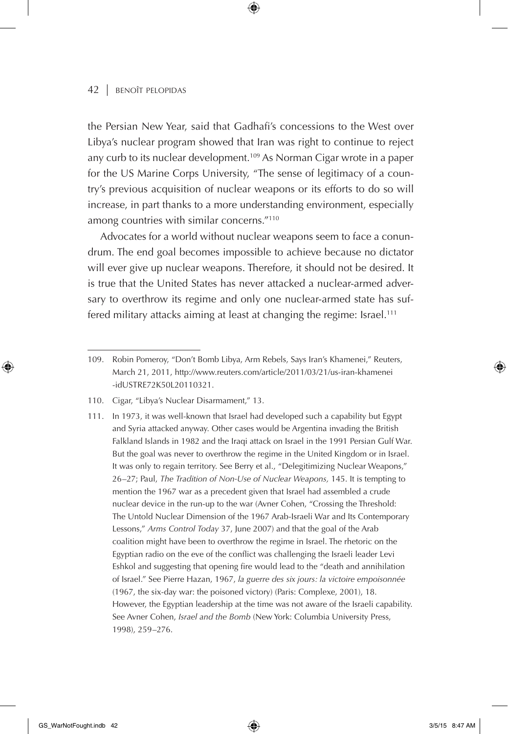the Persian New Year, said that Gadhafi's concessions to the West over Libya's nuclear program showed that Iran was right to continue to reject any curb to its nuclear development.<sup>109</sup> As Norman Cigar wrote in a paper for the US Marine Corps University, "The sense of legitimacy of a country's previous acquisition of nuclear weapons or its efforts to do so will increase, in part thanks to a more understanding environment, especially among countries with similar concerns."110

Advocates for a world without nuclear weapons seem to face a conundrum. The end goal becomes impossible to achieve because no dictator will ever give up nuclear weapons. Therefore, it should not be desired. It is true that the United States has never attacked a nuclear-armed adversary to overthrow its regime and only one nuclear-armed state has suffered military attacks aiming at least at changing the regime: Israel.<sup>111</sup>

<sup>109.</sup> Robin Pomeroy, "Don't Bomb Libya, Arm Rebels, Says Iran's Khamenei," Reuters, March 21, 2011, http://www.reuters.com/article/2011/03/21/us-iran-khamenei -idUSTRE72K50L20110321.

<sup>110.</sup> Cigar, "Libya's Nuclear Disarmament," 13.

<sup>111.</sup> In 1973, it was well-known that Israel had developed such a capability but Egypt and Syria attacked anyway. Other cases would be Argentina invading the British Falkland Islands in 1982 and the Iraqi attack on Israel in the 1991 Persian Gulf War. But the goal was never to overthrow the regime in the United Kingdom or in Israel. It was only to regain territory. See Berry et al., "Delegitimizing Nuclear Weapons," 26–27; Paul, *The Tradition of Non-Use of Nuclear Weapons,* 145. It is tempting to mention the 1967 war as a precedent given that Israel had assembled a crude nuclear device in the run-up to the war (Avner Cohen, "Crossing the Threshold: The Untold Nuclear Dimension of the 1967 Arab-Israeli War and Its Contemporary Lessons," *Arms Control Today* 37, June 2007) and that the goal of the Arab coalition might have been to overthrow the regime in Israel. The rhetoric on the Egyptian radio on the eve of the conflict was challenging the Israeli leader Levi Eshkol and suggesting that opening fire would lead to the "death and annihilation of Israel." See Pierre Hazan, 1967, *la guerre des six jours: la victoire empoisonnée*  (1967, the six-day war: the poisoned victory) (Paris: Complexe, 2001), 18. However, the Egyptian leadership at the time was not aware of the Israeli capability. See Avner Cohen, *Israel and the Bomb* (New York: Columbia University Press, 1998), 259–276.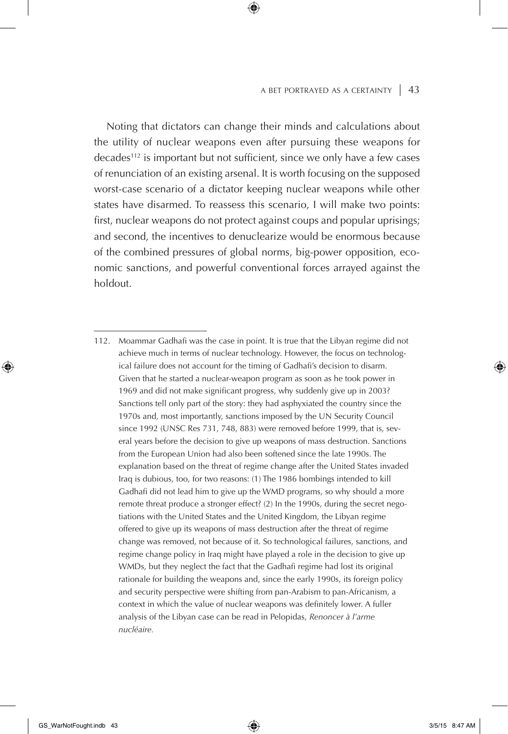Noting that dictators can change their minds and calculations about the utility of nuclear weapons even after pursuing these weapons for decades<sup>112</sup> is important but not sufficient, since we only have a few cases of renunciation of an existing arsenal. It is worth focusing on the supposed worst-case scenario of a dictator keeping nuclear weapons while other states have disarmed. To reassess this scenario, I will make two points: first, nuclear weapons do not protect against coups and popular uprisings; and second, the incentives to denuclearize would be enormous because of the combined pressures of global norms, big-power opposition, economic sanctions, and powerful conventional forces arrayed against the holdout.

<sup>112.</sup> Moammar Gadhafi was the case in point. It is true that the Libyan regime did not achieve much in terms of nuclear technology. However, the focus on technological failure does not account for the timing of Gadhafi's decision to disarm. Given that he started a nuclear-weapon program as soon as he took power in 1969 and did not make significant progress, why suddenly give up in 2003? Sanctions tell only part of the story: they had asphyxiated the country since the 1970s and, most importantly, sanctions imposed by the UN Security Council since 1992 (UNSC Res 731, 748, 883) were removed before 1999, that is, several years before the decision to give up weapons of mass destruction. Sanctions from the European Union had also been softened since the late 1990s. The explanation based on the threat of regime change after the United States invaded Iraq is dubious, too, for two reasons: (1) The 1986 bombings intended to kill Gadhafi did not lead him to give up the WMD programs, so why should a more remote threat produce a stronger effect? (2) In the 1990s, during the secret negotiations with the United States and the United Kingdom, the Libyan regime offered to give up its weapons of mass destruction after the threat of regime change was removed, not because of it. So technological failures, sanctions, and regime change policy in Iraq might have played a role in the decision to give up WMDs, but they neglect the fact that the Gadhafi regime had lost its original rationale for building the weapons and, since the early 1990s, its foreign policy and security perspective were shifting from pan-Arabism to pan-Africanism, a context in which the value of nuclear weapons was definitely lower. A fuller analysis of the Libyan case can be read in Pelopidas, *Renoncer à l'arme nucléaire.*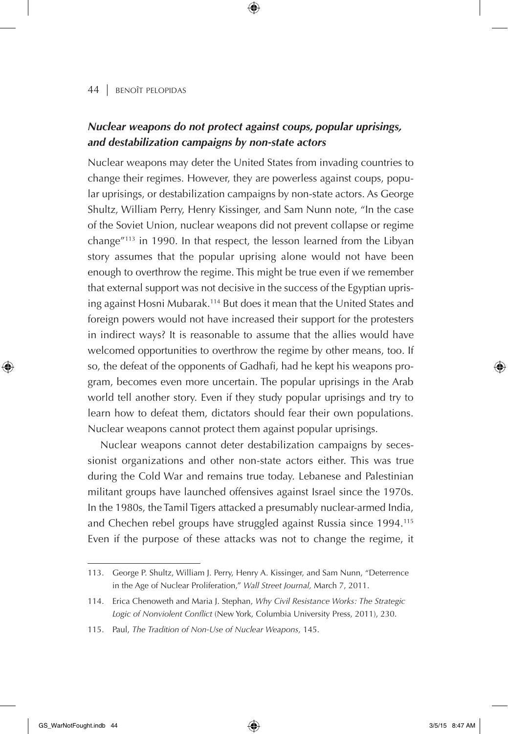# *Nuclear weapons do not protect against coups, popular uprisings, and destabilization campaigns by non-state actors*

Nuclear weapons may deter the United States from invading countries to change their regimes. However, they are powerless against coups, popular uprisings, or destabilization campaigns by non-state actors. As George Shultz, William Perry, Henry Kissinger, and Sam Nunn note, "In the case of the Soviet Union, nuclear weapons did not prevent collapse or regime change"113 in 1990. In that respect, the lesson learned from the Libyan story assumes that the popular uprising alone would not have been enough to overthrow the regime. This might be true even if we remember that external support was not decisive in the success of the Egyptian uprising against Hosni Mubarak.114 But does it mean that the United States and foreign powers would not have increased their support for the protesters in indirect ways? It is reasonable to assume that the allies would have welcomed opportunities to overthrow the regime by other means, too. If so, the defeat of the opponents of Gadhafi, had he kept his weapons program, becomes even more uncertain. The popular uprisings in the Arab world tell another story. Even if they study popular uprisings and try to learn how to defeat them, dictators should fear their own populations. Nuclear weapons cannot protect them against popular uprisings.

Nuclear weapons cannot deter destabilization campaigns by secessionist organizations and other non-state actors either. This was true during the Cold War and remains true today. Lebanese and Palestinian militant groups have launched offensives against Israel since the 1970s. In the 1980s, the Tamil Tigers attacked a presumably nuclear-armed India, and Chechen rebel groups have struggled against Russia since 1994.<sup>115</sup> Even if the purpose of these attacks was not to change the regime, it

<sup>113.</sup> George P. Shultz, William J. Perry, Henry A. Kissinger, and Sam Nunn, "Deterrence in the Age of Nuclear Proliferation," *Wall Street Journal,* March 7, 2011.

<sup>114.</sup> Erica Chenoweth and Maria J. Stephan, *Why Civil Resistance Works: The Strategic Logic of Nonviolent Conflict* (New York, Columbia University Press, 2011), 230.

<sup>115.</sup> Paul, *The Tradition of Non-Use of Nuclear Weapons,* 145.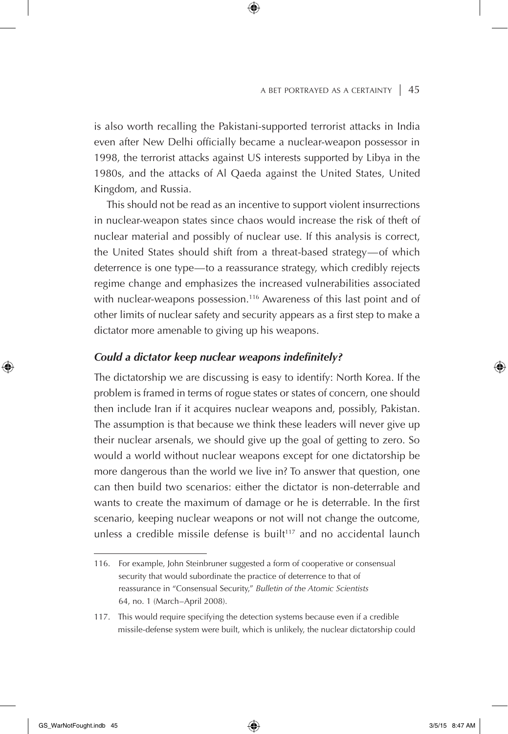is also worth recalling the Pakistani-supported terrorist attacks in India even after New Delhi officially became a nuclear-weapon possessor in 1998, the terrorist attacks against US interests supported by Libya in the 1980s, and the attacks of Al Qaeda against the United States, United Kingdom, and Russia.

This should not be read as an incentive to support violent insurrections in nuclear-weapon states since chaos would increase the risk of theft of nuclear material and possibly of nuclear use. If this analysis is correct, the United States should shift from a threat-based strategy—of which deterrence is one type—to a reassurance strategy, which credibly rejects regime change and emphasizes the increased vulnerabilities associated with nuclear-weapons possession.<sup>116</sup> Awareness of this last point and of other limits of nuclear safety and security appears as a first step to make a dictator more amenable to giving up his weapons.

### *Could a dictator keep nuclear weapons indefinitely?*

The dictatorship we are discussing is easy to identify: North Korea. If the problem is framed in terms of rogue states or states of concern, one should then include Iran if it acquires nuclear weapons and, possibly, Pakistan. The assumption is that because we think these leaders will never give up their nuclear arsenals, we should give up the goal of getting to zero. So would a world without nuclear weapons except for one dictatorship be more dangerous than the world we live in? To answer that question, one can then build two scenarios: either the dictator is non-deterrable and wants to create the maximum of damage or he is deterrable. In the first scenario, keeping nuclear weapons or not will not change the outcome, unless a credible missile defense is built $117$  and no accidental launch

<sup>116.</sup> For example, John Steinbruner suggested a form of cooperative or consensual security that would subordinate the practice of deterrence to that of reassurance in "Consensual Security," *Bulletin of the Atomic Scientists* 64, no. 1 (March–April 2008).

<sup>117.</sup> This would require specifying the detection systems because even if a credible missile-defense system were built, which is unlikely, the nuclear dictatorship could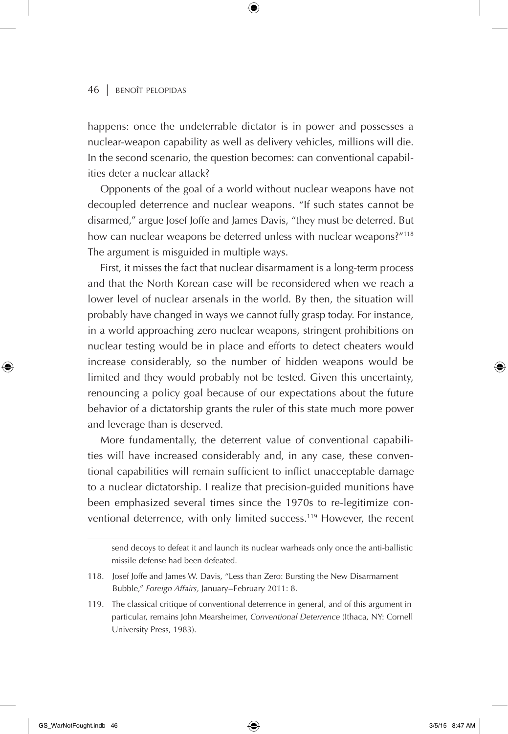happens: once the undeterrable dictator is in power and possesses a nuclear-weapon capability as well as delivery vehicles, millions will die. In the second scenario, the question becomes: can conventional capabilities deter a nuclear attack?

Opponents of the goal of a world without nuclear weapons have not decoupled deterrence and nuclear weapons. "If such states cannot be disarmed," argue Josef Joffe and James Davis, "they must be deterred. But how can nuclear weapons be deterred unless with nuclear weapons?"<sup>118</sup> The argument is misguided in multiple ways.

First, it misses the fact that nuclear disarmament is a long-term process and that the North Korean case will be reconsidered when we reach a lower level of nuclear arsenals in the world. By then, the situation will probably have changed in ways we cannot fully grasp today. For instance, in a world approaching zero nuclear weapons, stringent prohibitions on nuclear testing would be in place and efforts to detect cheaters would increase considerably, so the number of hidden weapons would be limited and they would probably not be tested. Given this uncertainty, renouncing a policy goal because of our expectations about the future behavior of a dictatorship grants the ruler of this state much more power and leverage than is deserved.

More fundamentally, the deterrent value of conventional capabilities will have increased considerably and, in any case, these conventional capabilities will remain sufficient to inflict unacceptable damage to a nuclear dictatorship. I realize that precision-guided munitions have been emphasized several times since the 1970s to re-legitimize conventional deterrence, with only limited success.<sup>119</sup> However, the recent

send decoys to defeat it and launch its nuclear warheads only once the anti-ballistic missile defense had been defeated.

<sup>118.</sup> Josef Joffe and James W. Davis, "Less than Zero: Bursting the New Disarmament Bubble," *Foreign Affairs,* January–February 2011: 8.

<sup>119.</sup> The classical critique of conventional deterrence in general, and of this argument in particular, remains John Mearsheimer, *Conventional Deterrence* (Ithaca, NY: Cornell University Press, 1983).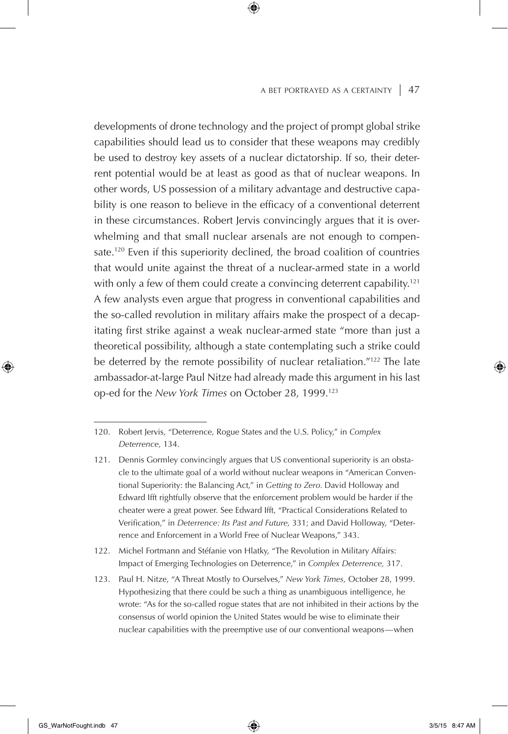developments of drone technology and the project of prompt global strike capabilities should lead us to consider that these weapons may credibly be used to destroy key assets of a nuclear dictatorship. If so, their deterrent potential would be at least as good as that of nuclear weapons. In other words, US possession of a military advantage and destructive capability is one reason to believe in the efficacy of a conventional deterrent in these circumstances. Robert Jervis convincingly argues that it is overwhelming and that small nuclear arsenals are not enough to compensate.<sup>120</sup> Even if this superiority declined, the broad coalition of countries that would unite against the threat of a nuclear-armed state in a world with only a few of them could create a convincing deterrent capability.<sup>121</sup> A few analysts even argue that progress in conventional capabilities and the so-called revolution in military affairs make the prospect of a decapitating first strike against a weak nuclear-armed state "more than just a theoretical possibility, although a state contemplating such a strike could be deterred by the remote possibility of nuclear retaliation."<sup>122</sup> The late ambassador-at-large Paul Nitze had already made this argument in his last op-ed for the *New York Times* on October 28, 1999.123

- 122. Michel Fortmann and Stéfanie von Hlatky, "The Revolution in Military Affairs: Impact of Emerging Technologies on Deterrence," in *Complex Deterrence,* 317.
- 123. Paul H. Nitze, "A Threat Mostly to Ourselves," *New York Times,* October 28, 1999. Hypothesizing that there could be such a thing as unambiguous intelligence, he wrote: "As for the so-called rogue states that are not inhibited in their actions by the consensus of world opinion the United States would be wise to eliminate their nuclear capabilities with the preemptive use of our conventional weapons—when

<sup>120.</sup> Robert Jervis, "Deterrence, Rogue States and the U.S. Policy," in *Complex Deterrence,* 134.

<sup>121.</sup> Dennis Gormley convincingly argues that US conventional superiority is an obstacle to the ultimate goal of a world without nuclear weapons in "American Conventional Superiority: the Balancing Act," in *Getting to Zero.* David Holloway and Edward Ifft rightfully observe that the enforcement problem would be harder if the cheater were a great power. See Edward Ifft, "Practical Considerations Related to Verification," in *Deterrence: Its Past and Future,* 331; and David Holloway, "Deterrence and Enforcement in a World Free of Nuclear Weapons," 343.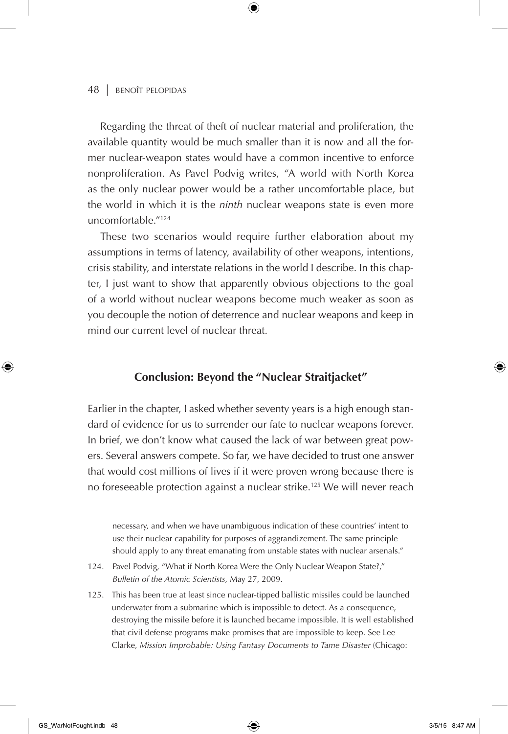Regarding the threat of theft of nuclear material and proliferation, the available quantity would be much smaller than it is now and all the former nuclear-weapon states would have a common incentive to enforce nonproliferation. As Pavel Podvig writes, "A world with North Korea as the only nuclear power would be a rather uncomfortable place, but the world in which it is the *ninth* nuclear weapons state is even more uncomfortable."124

These two scenarios would require further elaboration about my assumptions in terms of latency, availability of other weapons, intentions, crisis stability, and interstate relations in the world I describe. In this chapter, I just want to show that apparently obvious objections to the goal of a world without nuclear weapons become much weaker as soon as you decouple the notion of deterrence and nuclear weapons and keep in mind our current level of nuclear threat.

### **Conclusion: Beyond the "Nuclear Straitjacket"**

Earlier in the chapter, I asked whether seventy years is a high enough standard of evidence for us to surrender our fate to nuclear weapons forever. In brief, we don't know what caused the lack of war between great powers. Several answers compete. So far, we have decided to trust one answer that would cost millions of lives if it were proven wrong because there is no foreseeable protection against a nuclear strike.125 We will never reach

necessary, and when we have unambiguous indication of these countries' intent to use their nuclear capability for purposes of aggrandizement. The same principle should apply to any threat emanating from unstable states with nuclear arsenals."

<sup>124.</sup> Pavel Podvig, "What if North Korea Were the Only Nuclear Weapon State?," *Bulletin of the Atomic Scientists,* May 27, 2009.

<sup>125.</sup> This has been true at least since nuclear-tipped ballistic missiles could be launched underwater from a submarine which is impossible to detect. As a consequence, destroying the missile before it is launched became impossible. It is well established that civil defense programs make promises that are impossible to keep. See Lee Clarke, *Mission Improbable: Using Fantasy Documents to Tame Disaster* (Chicago: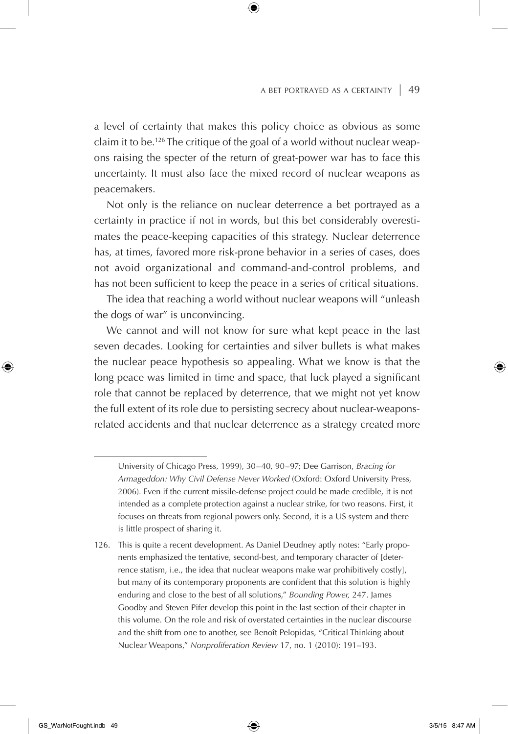a level of certainty that makes this policy choice as obvious as some claim it to be.126 The critique of the goal of a world without nuclear weapons raising the specter of the return of great-power war has to face this uncertainty. It must also face the mixed record of nuclear weapons as peacemakers.

Not only is the reliance on nuclear deterrence a bet portrayed as a certainty in practice if not in words, but this bet considerably overestimates the peace-keeping capacities of this strategy. Nuclear deterrence has, at times, favored more risk-prone behavior in a series of cases, does not avoid organizational and command-and-control problems, and has not been sufficient to keep the peace in a series of critical situations.

The idea that reaching a world without nuclear weapons will "unleash the dogs of war" is unconvincing.

We cannot and will not know for sure what kept peace in the last seven decades. Looking for certainties and silver bullets is what makes the nuclear peace hypothesis so appealing. What we know is that the long peace was limited in time and space, that luck played a significant role that cannot be replaced by deterrence, that we might not yet know the full extent of its role due to persisting secrecy about nuclear-weaponsrelated accidents and that nuclear deterrence as a strategy created more

126. This is quite a recent development. As Daniel Deudney aptly notes: "Early proponents emphasized the tentative, second-best, and temporary character of [deterrence statism, i.e., the idea that nuclear weapons make war prohibitively costly], but many of its contemporary proponents are confident that this solution is highly enduring and close to the best of all solutions," *Bounding Power,* 247. James Goodby and Steven Pifer develop this point in the last section of their chapter in this volume. On the role and risk of overstated certainties in the nuclear discourse and the shift from one to another, see Benoît Pelopidas, "Critical Thinking about Nuclear Weapons," *Nonproliferation Review* 17, no. 1 (2010): 191–193.

University of Chicago Press, 1999), 30–40, 90–97; Dee Garrison, *Bracing for Armageddon: Why Civil Defense Never Worked* (Oxford: Oxford University Press, 2006). Even if the current missile-defense project could be made credible, it is not intended as a complete protection against a nuclear strike, for two reasons. First, it focuses on threats from regional powers only. Second, it is a US system and there is little prospect of sharing it.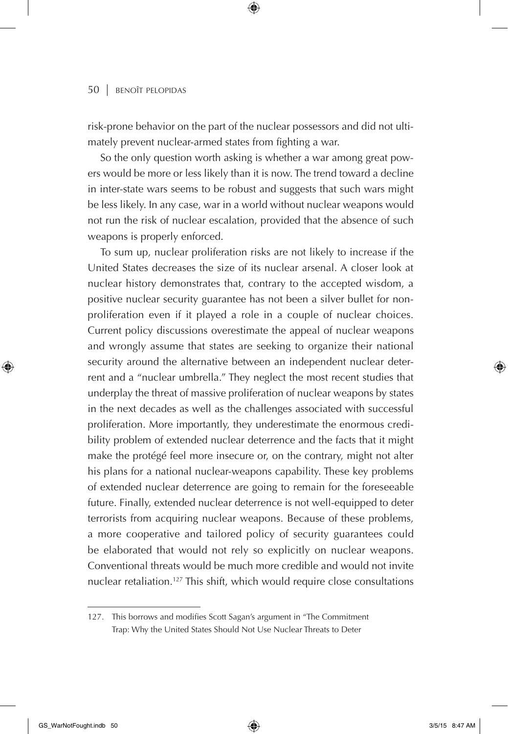risk-prone behavior on the part of the nuclear possessors and did not ultimately prevent nuclear-armed states from fighting a war.

So the only question worth asking is whether a war among great powers would be more or less likely than it is now. The trend toward a decline in inter-state wars seems to be robust and suggests that such wars might be less likely. In any case, war in a world without nuclear weapons would not run the risk of nuclear escalation, provided that the absence of such weapons is properly enforced.

To sum up, nuclear proliferation risks are not likely to increase if the United States decreases the size of its nuclear arsenal. A closer look at nuclear history demonstrates that, contrary to the accepted wisdom, a positive nuclear security guarantee has not been a silver bullet for nonproliferation even if it played a role in a couple of nuclear choices. Current policy discussions overestimate the appeal of nuclear weapons and wrongly assume that states are seeking to organize their national security around the alternative between an independent nuclear deterrent and a "nuclear umbrella." They neglect the most recent studies that underplay the threat of massive proliferation of nuclear weapons by states in the next decades as well as the challenges associated with successful proliferation. More importantly, they underestimate the enormous credibility problem of extended nuclear deterrence and the facts that it might make the protégé feel more insecure or, on the contrary, might not alter his plans for a national nuclear-weapons capability. These key problems of extended nuclear deterrence are going to remain for the foreseeable future. Finally, extended nuclear deterrence is not well-equipped to deter terrorists from acquiring nuclear weapons. Because of these problems, a more cooperative and tailored policy of security guarantees could be elaborated that would not rely so explicitly on nuclear weapons. Conventional threats would be much more credible and would not invite nuclear retaliation.<sup>127</sup> This shift, which would require close consultations

<sup>127.</sup> This borrows and modifies Scott Sagan's argument in "The Commitment Trap: Why the United States Should Not Use Nuclear Threats to Deter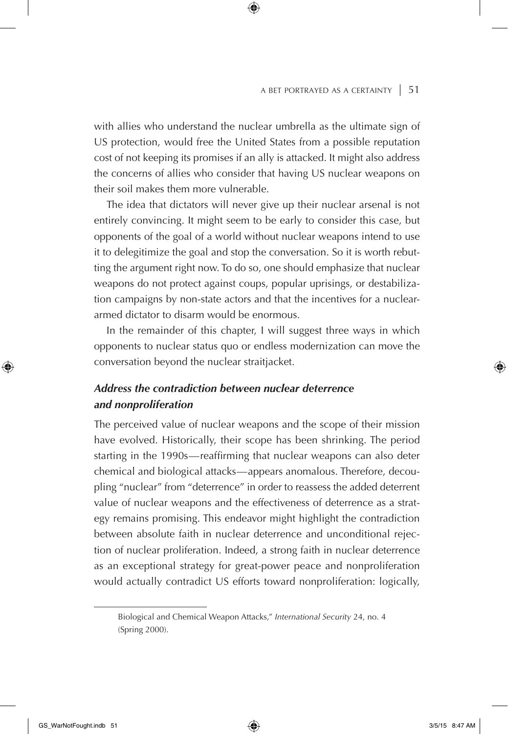with allies who understand the nuclear umbrella as the ultimate sign of US protection, would free the United States from a possible reputation cost of not keeping its promises if an ally is attacked. It might also address the concerns of allies who consider that having US nuclear weapons on their soil makes them more vulnerable.

The idea that dictators will never give up their nuclear arsenal is not entirely convincing. It might seem to be early to consider this case, but opponents of the goal of a world without nuclear weapons intend to use it to delegitimize the goal and stop the conversation. So it is worth rebutting the argument right now. To do so, one should emphasize that nuclear weapons do not protect against coups, popular uprisings, or destabilization campaigns by non-state actors and that the incentives for a nucleararmed dictator to disarm would be enormous.

In the remainder of this chapter, I will suggest three ways in which opponents to nuclear status quo or endless modernization can move the conversation beyond the nuclear straitjacket.

# *Address the contradiction between nuclear deterrence and nonproliferation*

The perceived value of nuclear weapons and the scope of their mission have evolved. Historically, their scope has been shrinking. The period starting in the 1990s—reaffirming that nuclear weapons can also deter chemical and biological attacks—appears anomalous. Therefore, decoupling "nuclear" from "deterrence" in order to reassess the added deterrent value of nuclear weapons and the effectiveness of deterrence as a strategy remains promising. This endeavor might highlight the contradiction between absolute faith in nuclear deterrence and unconditional rejection of nuclear proliferation. Indeed, a strong faith in nuclear deterrence as an exceptional strategy for great-power peace and nonproliferation would actually contradict US efforts toward nonproliferation: logically,

Biological and Chemical Weapon Attacks," *International Security* 24, no. 4 (Spring 2000).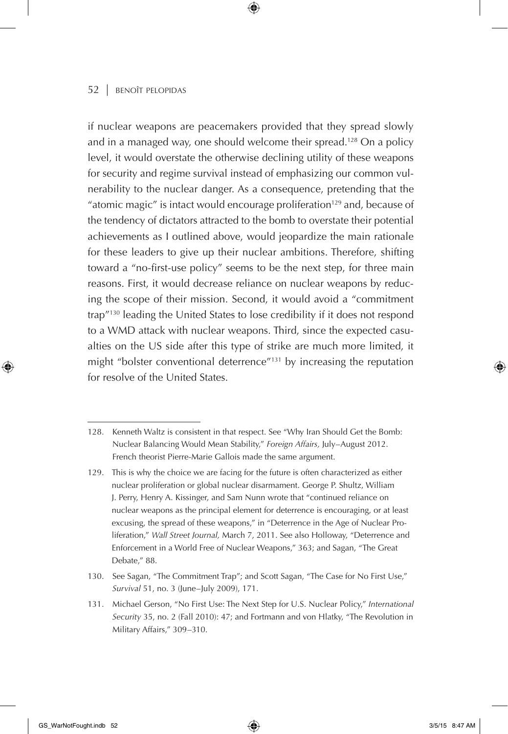if nuclear weapons are peacemakers provided that they spread slowly and in a managed way, one should welcome their spread.<sup>128</sup> On a policy level, it would overstate the otherwise declining utility of these weapons for security and regime survival instead of emphasizing our common vulnerability to the nuclear danger. As a consequence, pretending that the "atomic magic" is intact would encourage proliferation<sup>129</sup> and, because of the tendency of dictators attracted to the bomb to overstate their potential achievements as I outlined above, would jeopardize the main rationale for these leaders to give up their nuclear ambitions. Therefore, shifting toward a "no-first-use policy" seems to be the next step, for three main reasons. First, it would decrease reliance on nuclear weapons by reducing the scope of their mission. Second, it would avoid a "commitment trap"130 leading the United States to lose credibility if it does not respond to a WMD attack with nuclear weapons. Third, since the expected casualties on the US side after this type of strike are much more limited, it might "bolster conventional deterrence"<sup>131</sup> by increasing the reputation for resolve of the United States.

- 130. See Sagan, "The Commitment Trap"; and Scott Sagan, "The Case for No First Use," *Survival* 51, no. 3 (June–July 2009), 171.
- 131. Michael Gerson, "No First Use: The Next Step for U.S. Nuclear Policy," *International Security* 35, no. 2 (Fall 2010): 47; and Fortmann and von Hlatky, "The Revolution in Military Affairs," 309–310.

<sup>128.</sup> Kenneth Waltz is consistent in that respect. See "Why Iran Should Get the Bomb: Nuclear Balancing Would Mean Stability," *Foreign Affairs,* July–August 2012. French theorist Pierre-Marie Gallois made the same argument.

<sup>129.</sup> This is why the choice we are facing for the future is often characterized as either nuclear proliferation or global nuclear disarmament. George P. Shultz, William J. Perry, Henry A. Kissinger, and Sam Nunn wrote that "continued reliance on nuclear weapons as the principal element for deterrence is encouraging, or at least excusing, the spread of these weapons," in "Deterrence in the Age of Nuclear Proliferation," *Wall Street Journal,* March 7, 2011. See also Holloway, "Deterrence and Enforcement in a World Free of Nuclear Weapons," 363; and Sagan, "The Great Debate," 88.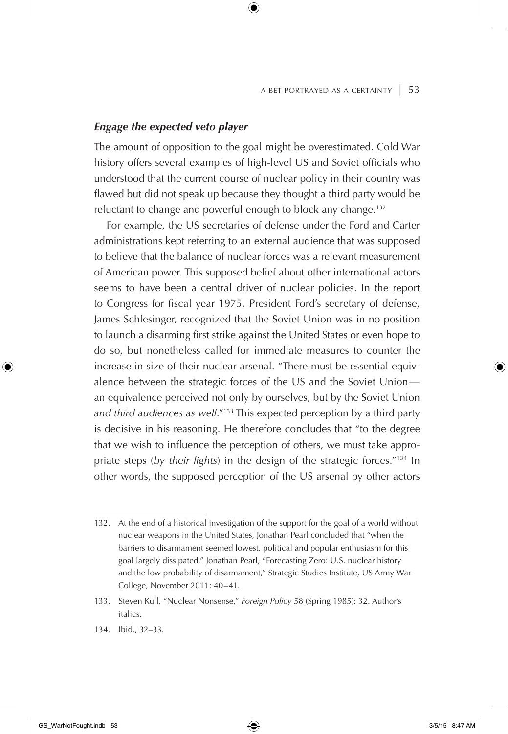### *Engage the expected veto player*

The amount of opposition to the goal might be overestimated. Cold War history offers several examples of high-level US and Soviet officials who understood that the current course of nuclear policy in their country was flawed but did not speak up because they thought a third party would be reluctant to change and powerful enough to block any change.<sup>132</sup>

For example, the US secretaries of defense under the Ford and Carter administrations kept referring to an external audience that was supposed to believe that the balance of nuclear forces was a relevant measurement of American power. This supposed belief about other international actors seems to have been a central driver of nuclear policies. In the report to Congress for fiscal year 1975, President Ford's secretary of defense, James Schlesinger, recognized that the Soviet Union was in no position to launch a disarming first strike against the United States or even hope to do so, but nonetheless called for immediate measures to counter the increase in size of their nuclear arsenal. "There must be essential equivalence between the strategic forces of the US and the Soviet Union an equivalence perceived not only by ourselves, but by the Soviet Union *and third audiences as well*."133 This expected perception by a third party is decisive in his reasoning. He therefore concludes that "to the degree that we wish to influence the perception of others, we must take appropriate steps (*by their lights*) in the design of the strategic forces."134 In other words, the supposed perception of the US arsenal by other actors

<sup>132.</sup> At the end of a historical investigation of the support for the goal of a world without nuclear weapons in the United States, Jonathan Pearl concluded that "when the barriers to disarmament seemed lowest, political and popular enthusiasm for this goal largely dissipated." Jonathan Pearl, "Forecasting Zero: U.S. nuclear history and the low probability of disarmament," Strategic Studies Institute, US Army War College, November 2011: 40–41.

<sup>133.</sup> Steven Kull, "Nuclear Nonsense," *Foreign Policy* 58 (Spring 1985): 32. Author's italics.

<sup>134.</sup> Ibid., 32–33.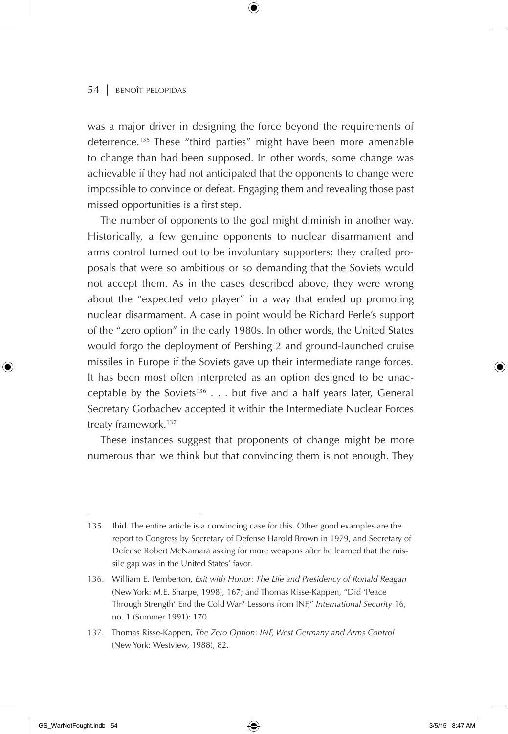was a major driver in designing the force beyond the requirements of deterrence.135 These "third parties" might have been more amenable to change than had been supposed. In other words, some change was achievable if they had not anticipated that the opponents to change were impossible to convince or defeat. Engaging them and revealing those past missed opportunities is a first step.

The number of opponents to the goal might diminish in another way. Historically, a few genuine opponents to nuclear disarmament and arms control turned out to be involuntary supporters: they crafted proposals that were so ambitious or so demanding that the Soviets would not accept them. As in the cases described above, they were wrong about the "expected veto player" in a way that ended up promoting nuclear disarmament. A case in point would be Richard Perle's support of the "zero option" in the early 1980s. In other words, the United States would forgo the deployment of Pershing 2 and ground-launched cruise missiles in Europe if the Soviets gave up their intermediate range forces. It has been most often interpreted as an option designed to be unacceptable by the Soviets<sup>136</sup> . . . but five and a half years later, General Secretary Gorbachev accepted it within the Intermediate Nuclear Forces treaty framework.137

These instances suggest that proponents of change might be more numerous than we think but that convincing them is not enough. They

<sup>135.</sup> Ibid. The entire article is a convincing case for this. Other good examples are the report to Congress by Secretary of Defense Harold Brown in 1979, and Secretary of Defense Robert McNamara asking for more weapons after he learned that the missile gap was in the United States' favor.

<sup>136.</sup> William E. Pemberton, *Exit with Honor: The Life and Presidency of Ronald Reagan*  (New York: M.E. Sharpe, 1998), 167; and Thomas Risse-Kappen, "Did 'Peace Through Strength' End the Cold War? Lessons from INF," *International Security* 16, no. 1 (Summer 1991): 170.

<sup>137.</sup> Thomas Risse-Kappen, *The Zero Option: INF, West Germany and Arms Control*  (New York: Westview, 1988), 82.